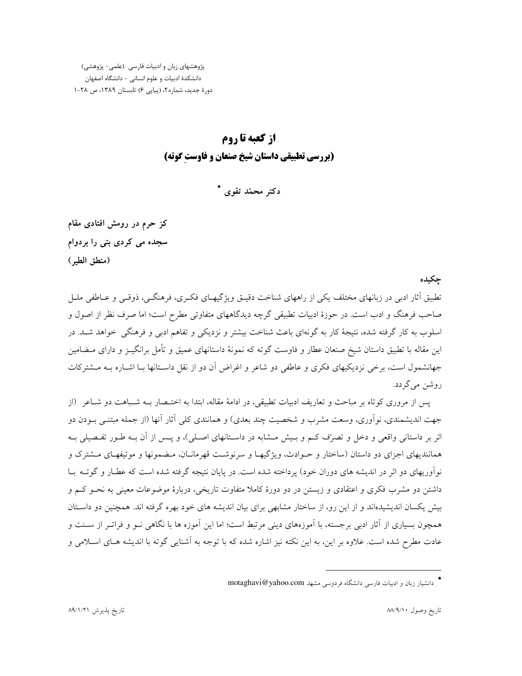پژوهشهای زبان و ادبیات فارسی (علمی- پژوهشی) دانشكدة ادبيات و علوم انساني - دانشگاه اصفهان دورة جديد، شماره ٢، (ييايي ۶) تابستان ١٣٨٩، ص ٢٨-١

# از کعبه تا روم (بررسی تطبیقی داستان شیخ صنعان و فاوست گوته)

دکتر محمّد تقوی \*

کز حرم در رومش افتادی مقام سجده می کردی بتی را بردوام (منطق الطير)

حكىدە

تطبیق آثار ادبی در زبانهای مختلف یکی از راههای شناخت دقیـق ویژگیهـای فکـری، فرهنگـی، ذوقـی و عــاطفی ملـل صاحب فرهنگ و ادب است. در حوزهٔ ادبیات تطبیقی گرچه دیدگاههای متفاوتی مطرح است؛ اما صرف نظر از اصول و اسلوب به کار گرفته شده، نتیجهٔ کار به گونهای باعث شناخت بیشتر و نزدیکی و تفاهم ادبی و فرهنگی خواهد شـد. در این مقاله با تطبیق داستان شیخ صنعان عطار و فاوست گوته که نمونهٔ داستانهای عمیق و تأمل برانگیـز و دارای مـضامین جهانشمول است، برخی نزدیکیهای فکری و عاطفی دو شاعر و اغراض آن دو از نقل داسـتانها بـا اشـاره بـه مــشترکات روشن مي گردد.

پس از مروری کوتاه بر مباحث و تعاریف ادبیات تطبیقی، در ادامهٔ مقاله، ابتدا به اختـصار بــه شـباهت دو شــاعر (از جهت اندیشمندی، نواّوری، وسعت مشرب و شخصیت چند بعدی) و همانندی کلی اّثار اّنها (از جمله مبتنــی بــودن دو اثر بر داستانی واقعی و دخل و تصرّف کـم و بـیش مـشابه در داسـتانهای اصـلی)، و پـس از آن بـه طـور تفـصیلی بـه همانندیهای اجزای دو داستان (ساختار و حـوادث، ویژگیهـا و سرنوشـت قهرمانـان، مـضمونها و موتیفهـای مـشترک و نوآوریهای دو اثر در اندیشه های دوران خود) پرداخته شده است. در پایان نتیجه گرفته شده است که عطـار و گوتــه بــا داشتن دو مشرب فکری و اعتقادی و زیستن در دو دورهٔ کاملا متفاوت تاریخی، دربارهٔ موضوعات معینی به نحــو کــم و بیش یکسان اندیشیدهاند و از این رو، از ساختار مشابهی برای بیان اندیشه های خود بهره گرفته اند. همچنین دو داسـتان همچون بسیاری از آثار ادبی برجسته، با آموزههای دینی مرتبط است؛ اما این آموزه ها با نگاهی نـو و فراتـر از سـنت و عادت مطرح شده است. علاوه بر این، به این نکته نیز اشاره شده که با توجه به آشنایی گوته با اندیشه هـای اسـلامی و

<sup>\*</sup> دانشبار زبان و ادبیات فارسی دانشگاه فردوسی مشهد motaghavi@yahoo.com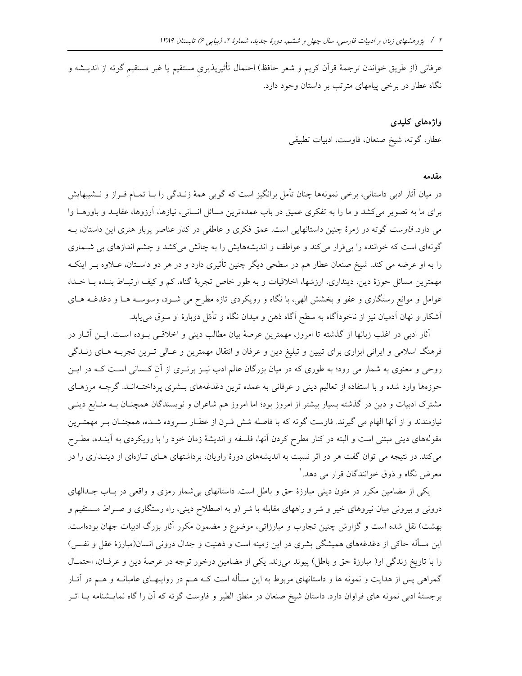عرفانی (از طریق خواندن ترجمهٔ قرآن کریم و شعر حافظ) احتمال تأثیرپذیری مستقیم یا غیر مستقیم گوته از اندیــشه و نگاه عطار در برخی پیامهای مترتب بر داستان وجود دارد.

> واژەهای کلیدی عطار، گوته، شيخ صنعان، فاوست، ادبيات تطبيقي

#### مقدمه

در میان آثار ادبی داستانی، برخی نمونهها چنان تأمل برانگیز است که گویی همهٔ زنـدگی را بـا تمـام فـراز و نــشیبهایش برای ما به تصویر میکشد و ما را به تفکری عمیق در باب عمدهترین مسائل انسانی، نیازها، آرزوها، عقایـد و باورهــا وا می دارد. *فاوست* گوته در زمرهٔ چنین داستانهایی است. عمق فکری و عاطفی در کنار عناصر پربار هنری این داستان، بــه گونهای است که خواننده را بیقرار میکند و عواطف و اندیشههایش را به چالش میکشد و چشم اندازهای بی شـماری را به او عرضه می کند. شیخ صنعان عطار هم در سطحی دیگر چنین تأثیری دارد و در هر دو داسـتان، عــلاوه بــر اینکــه مهمترین مسائل حوزهٔ دین، دینداری، ارزشها، اخلاقیات و به طور خاص تجربهٔ گناه، کم و کیف ارتبـاط بنـده بـا خـدا، عوامل و موانع رستگاری و عفو و بخشش الهی، با نگاه و رویکردی تازه مطرح می شـود، وسوسـه هـا و دغدغــه هــای آشکار و نهان آدمیان نیز از ناخودآگاه به سطح آگاه ذهن و میدان نگاه و تأمّل دوبارهٔ او سوق میbیابد.

آثار ادبی در اغلب زبانها از گذشته تا امروز، مهمترین عرصهٔ بیان مطالب دینی و اخلاقبی بـوده اسـت. ایــن آثــار در فرهنگ اسلامی و ایرانی ابزاری برای تبیین و تبلیغ دین و عرفان و انتقال مهمترین و عـالی تـرین تجربـه هـای زنــدگی روحی و معنوی به شمار می رود؛ به طوری که در میان بزرگان عالم ادب نیـز برتـری از آن کـسانی اسـت کـه در ایـن حوزهها وارد شده و با استفاده از تعالیم دینی و عرفانی به عمده ترین دغدغههای بــشری پرداختــهانــد. گرچــه مرزهــای مشترک ادبیات و دین در گذشته بسیار بیشتر از امروز بود؛ اما امروز هم شاعران و نویسندگان همچنان بـه منـابع دینـی نیازمندند و از آنها الهام می گیرند. فاوست گوته که با فاصله شش قـرن از عطـار سـروده شـده، همچنـان بـر مهمتـرین مقولههای دینی مبتنی است و البته در کنار مطرح کردن آنها، فلسفه و اندیشهٔ زمان خود را با رویکردی به آینـده، مطـرح میکند. در نتیجه می توان گفت هر دو اثر نسبت به اندیشههای دورهٔ راویان، برداشتهای هـای تـازهای از دینـداری را در معرض نگاه و ذوق خوانندگان قرار می دهد. ا

یکی از مضامین مکرر در متون دینی مبارزهٔ حق و باطل است. داستانهای بی شمار رمزی و واقعی در بـاب جـدالهای درونی و بیرونی میان نیروهای خیر و شر و راههای مقابله با شر (و به اصطلاح دینی، راه رستگاری و صـراط مـستقیم و بهشت) نقل شده است و گزارش چنین تجارب و مبارزاتی، موضوع و مضمون مکرر آثار بزرگ ادبیات جهان بودهاست. این مسأله حاکی از دغدغههای همیشگی بشری در این زمینه است و ذهنیت و جدال درونی انسان(مبارزهٔ عقل و نفـس) را با تاریخ زندگی او( مبارزهٔ حق و باطل) پیوند میزند. یکی از مضامین درخور توجه در عرصهٔ دین و عرفان، احتمـال گمراهی پس از هدایت و نمونه ها و داستانهای مربوط به این مسأله است کــه هــم در روایتهــای عامیانــه و هــم در آثــار برجستهٔ ادبی نمونه های فراوان دارد. داستان شیخ صنعان در منطق الطیر و فاوست گوته که آن را گاه نمایــشنامه یــا اثــر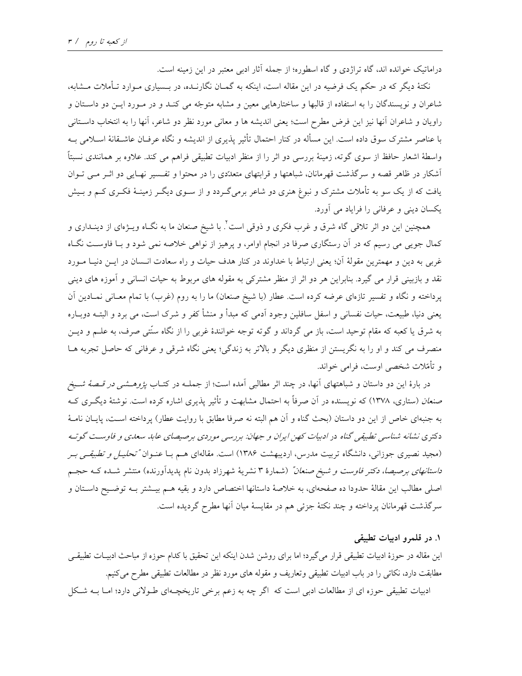دراماتیک خوانده اند، گاه تراژدی و گاه اسطوره؛ از جمله آثار ادبی معتبر در این زمینه است.

نکتهٔ دیگر که در حکم یک فرضیه در این مقاله است، اینکه به گمـان نگارنــده، در بــسیاری مـوارد تــأملات مــشابه، شاعران و نویسندگان را به استفاده از قالبها و ساختارهایی معین و مشابه متوجّه می کنـد و در مـورد ایـن دو داسـتان و راويان و شاعران آنها نيز اين فرض مطرح است؛ يعني انديشه ها و معاني مورد نظر دو شاعر، آنها را به انتخاب داسـتاني با عناصر مشترک سوق داده است. این مسأله در کنار احتمال تأثیر پذیری از اندیشه و نگاه عرفـان عاشـقانهٔ اسـلامی بـه واسطهٔ اشعار حافظ از سوی گوته، زمینهٔ بررسی دو اثر را از منظر ادبیات تطبیقی فراهم می کند. علاوه بر همانندی نسبتاً آشکار در ظاهر قصه و سرگذشت قهرمانان، شباهتها و قرابتهای متعدّدی را در محتوا و تفسیر نهـایی دو اثـر مـی تـوان یافت که از یک سو به تأملات مشترک و نبوغ هنری دو شاعر برمیگـردد و از سـوی دیگـر زمینـهٔ فکـری کـم و بـیش یکسان دینی و عرفانی را فرایاد می آورد.

همچنین این دو اثر تلاقی گاه شرق و غرب فکری و ذوقی است<sup>۲</sup>. با شیخ صنعان ما به نگــاه ویــژهای از دینــداری و کمال جویبی می رسیم که در آن رستگاری صرفا در انجام اوامر، و پرهیز از نواهی خلاصه نمی شود و بـا فاوسـت نگـاه غربی به دین و مهمترین مقولهٔ آن؛ یعنی ارتباط با خداوند در کنار هدف حیات و راه سعادت انـسان در ایــن دنیــا مــورد نقد و بازبینی قرار می گیرد. بنابراین هر دو اثر از منظر مشترکی به مقوله های مربوط به حیات انسانی و آموزه های دینی یرداخته و نگاه و تفسیر تازمای عرضه کرده است. عطار (با شیخ صنعان) ما را به روم (غرب) با تمام معـانی نمـادین آن يعني دنيا، طبيعت، حيات نفساني و اسفل سافلين وجود آدمي كه مبدأ و منشأ كفر و شرك است، مي برد و البتــه دوبــاره به شرق یا کعبه که مقام توحید است، باز می گرداند و گوته توجه خوانندهٔ غربی را از نگاه سنّتی صرف، به علــم و دیــن منصرف مي كند و او را به نگريستن از منظري ديگر و بالاتر به زندگي؛ يعني نگاه شرقي و عرفاني كه حاصل تجربه هــا و تأمّلات شخصی اوست، فرامی خواند.

در بارهٔ این دو داستان و شباهتهای آنها، در چند اثر مطالبی آمده است؛ از جملــه در کتــاب *پژوهــشـی در قــصهٔ شــیخ* صنع*ان (س*تاری، ۱۳۷۸) که نویسنده در آن صرفاً به احتمال مشابهت و تأثیر پذیری اشاره کرده است. نوشتهٔ دیگـری کــه به جنبهای خاص از این دو داستان (بحث گناه و آن هم البته نه صرفا مطابق با روایت عطار) پرداخته اسـت، پایــان نامــهٔ دکتری نشانه شناسی تطبیقی گناه در ادبیات کهن ایران و جهان: بررسی موردی برصیصای عابد سعدی و فاوست گوته (مجید نصیری جوزانی، دانشگاه تربیت مدرس، اردیبهشت ۱۳۸۶) است. مقالهای هـم بـا عنـوان *"تحليـل و تطبيقـي بـر داستانهای برصیصا، دکتر فاوست و شیخ صنعان*ٌ (شمارهٔ ۳ نشریهٔ شهرزاد بدون نام پدیدآورنده) منتشر شـده کــه حجــم اصلي مطالب اين مقالهٔ حدودا ده صفحهاي، به خلاصهٔ داستانها اختصاص دارد و بقيه هـم بيــشتر بــه توضـيح داسـتان و سرگذشت قهرمانان پرداخته و چند نکتهٔ جزئی هم در مقایسهٔ میان آنها مطرح گردیده است.

#### ۱. در قلمرو ادبیات تطبیقی

این مقاله در حوزهٔ ادبیات تطبیقی قرار میگیرد؛ اما برای روشن شدن اینکه این تحقیق با کدام حوزه از مباحث ادبیـات تطبیقـی مطابقت دارد، نكاتي را در باب ادبيات تطبيقي وتعاريف و مقوله هاي مورد نظر در مطالعات تطبيقي مطرح مي كنيم. ادبیات تطبیقی حوزه ای از مطالعات ادبی است که اگر چه به زعم برخی تاریخچـهای طـولانی دارد؛ امـا بــه شـکل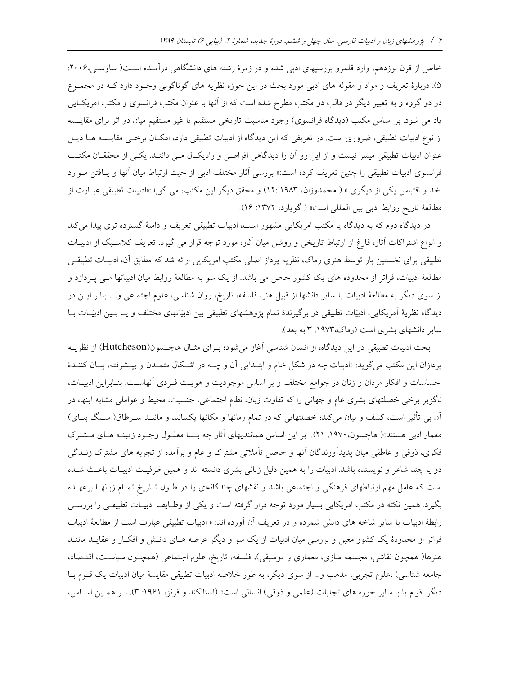خاص از قرن نوزدهم، وارد قلمرو بررسیهای ادبی شده و در زمرهٔ رشته های دانشگاهی درآمـده اسـت( ساوسـی،۲۰۰۶: ۵). دربارهٔ تعریف و مواد و مقوله های ادبی مورد بحث در این حوزه نظریه های گوناگونی وجـود دارد کـه در مجمـوع در دو گروه و به تعبیر دیگر در قالب دو مکتب مطرح شده است که از آنها با عنوان مکتب فرانسوی و مکتب امریک ایی یاد می شود. بر اساس مکتب (دیدگاه فرانسوی) وجود مناسبت تاریخی مستقیم یا غیر مستقیم میان دو اثر برای مقایسه از نوع ادبیات تطبیقی، ضروری است. در تعریفی که این دیدگاه از ادبیات تطبیقی دارد، امکـان برخـبی مقایـسه هـا ذیـل عنوان ادبیات تطبیقی میسر نیست و از این رو آن را دیدگاهی افراطبی و رادیکال مـی داننـد. یکـی از محققـان مکتـب فرانسوی ادبیات تطبیقی را چنین تعریف کرده است:« بررسی آثار مختلف ادبی از حیث ارتباط میان آنها و یـافتن مـوارد اخذ و اقتباس یکی از دیگری » ( محمدوزان، ۱۹۸۳ :۱۲) و محقق دیگر این مکتب، می گوید:«ادبیات تطبیقی عبـارت از مطالعة تاريخ روابط ادبي بين المللي است» ( گويارد، ١٣٧٢: ١۶).

در دیدگاه دوم که به دیدگاه یا مکتب امریکایی مشهور است، ادبیات تطبیقی تعریف و دامنهٔ گسترده تری پیدا میکند و انواع اشتراکات آثار، فارغ از ارتباط تاریخی و روشن میان آثار، مورد توجه قرار می گیرد. تعریف کلاسیک از ادبیـات تطبیقی برای نخستین بار توسط هنری رماک، نظریه پرداز اصلی مکتب امریکایی ارائه شد که مطابق آن، ادبیـات تطبیقـی مطالعهٔ ادبیات، فراتر از محدوده های یک کشور خاص می باشد. از یک سو به مطالعهٔ روابط میان ادبیاتها مـی پـردازد و از سوی دیگر به مطالعهٔ ادبیات با سایر دانشها از قبیل هنر، فلسفه، تاریخ، روان شناسی، علوم اجتماعی و.... بنابر ایـن در دیدگاه نظریهٔ آمریکایی، ادبیّات تطبیقی در برگیرندهٔ تمام پژوهشهای تطبیقی بین ادبیّاتهای مختلف و یـا بـین ادبیّـات بـا سایر دانشهای بشری است (رماک،۱۹۷۳: ۳ به بعد).

بحث ادبیات تطبیقی در این دیدگاه، از انسان شناسی آغاز می شود؛ بـرای مثـال هاچـسون(Hutcheson) از نظریــه پردازان این مکتب می گوید: «ادبیات چه در شکل خام و ابتـدایی آن و چــه در اشـكال متمـدن و پیـشرفته، بیـان كننـدهٔ احساسات و افکار مردان و زنان در جوامع مختلف و بر اساس موجودیت و هویـت فـردی آنهاسـت. بنـابراین ادبیـات، ناگزیر برخی خصلتهای بشری عام و جهانی را که تفاوت زبان، نظام اجتماعی، جنسیت، محیط و عواملی مشابه اینها، در آن بی تأثیر است، کشف و بیان میکند؛ خصلتهایی که در تمام زمانها و مکانها یکسانند و ماننـد سـرطاق( سـنگ بنـای) معمار ادبی هستند»( هاچسون، ۱۹۷۰: ۲۱). بر این اساس همانندیهای آثار چه بـسا معلـول وجـود زمینــه هـای مــشترک فکری، ذوقی و عاطفی میان پدیدآورندگان آنها و حاصل تأملاتی مشترک و عام و برآمده از تجربه های مشترک زنــدگی دو یا چند شاعر و نویسنده باشد. ادبیات را به همین دلیل زبانی بشری دانسته اند و همین ظرفیـت ادبیـات باعـث شـده است که عامل مهم ارتباطهای فرهنگی و اجتماعی باشد و نقشهای چندگانهای را در طـول تــاریخ تمــام زبانهــا برعهــده بگیرد. همین نکته در مکتب امریکایی بسیار مورد توجه قرار گرفته است و یکی از وظـایف ادبیـات تطبیقـی را بررسـی رابطهٔ ادبیات با سایر شاخه های دانش شمرده و در تعریف آن آورده اند: « ادبیات تطبیقی عبارت است از مطالعهٔ ادبیات فراتر از محدودهٔ یک کشور معین و بررسی میان ادبیات از یک سو و دیگر عرصه هـای دانـش و افکـار و عقایــد ماننــد هنرها( همچون نقاشی، مجسمه سازی، معماری و موسیقی)، فلسفه، تاریخ، علوم اجتماعی (همچـون سیاسـت، اقتـصاد، جامعه شناسی) ،علوم تجربی، مذهب و… از سوی دیگر، به طور خلاصه ادبیات تطبیقی مقایسهٔ میان ادبیات یک قــوم بــا دیگر اقوام یا با سایر حوزه های تجلیات (علمی و ذوقی) انسانی است» (استالکند و فرنز، ۱۹۶۱: ۳). بـر همـین اسـاس،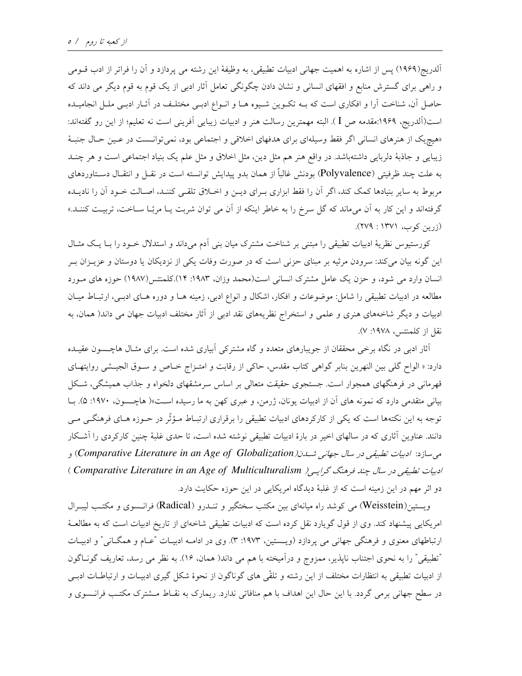آلدریج(۱۹۶۹) پس از اشاره به اهمیت جهانی ادبیات تطبیقی، به وظیفهٔ این رشته می پردازد و آن را فراتر از ادب قــومی و راهی برای گسترش منابع و افقهای انسانی و نشان دادن چگونگی تعامل آثار ادبی از یک قوم به قوم دیگر می داند که حاصل آن، شناخت آرا و افکاری است که بـه تکـوین شـیوه هـا و انـواع ادبـی مختلـف در آثـار ادبـی ملـل انجامیـده است(آلدريج، ۱۹۶۹:مقدمه ص I). البته مهمترين رسالت هنر و ادبيات زيبايي آفريني است نه تعليم؛ از اين رو گفتهاند: «هیچیک از هنرهای انسانی اگر فقط وسیلهای برای هدفهای اخلاقی و اجتماعی بود، نمیتوانست در عـین حـال جنبـهٔ زیبایی و جاذبهٔ دلربایی داشتهباشد. در واقع هنر هم مثل دین، مثل اخلاق و مثل علم یک بنیاد اجتماعی است و هر چنــد به علت چند ظرفیتی (Polyvalence) بودنش غالباً از همان بدو پیدایش توانسته است در نقـل و انتقـال دسـتاوردهای مربوط به سایر بنیادها کمک کند، اگر آن را فقط ابزاری بـرای دیـن و اخـلاق تلقـی کننـد، اصـالت خـود آن را نادیـده گرفتهاند و این کار به آن میماند که گل سرخ را به خاطر اینکه از آن می توان شربت یـا مربّـا سـاخت، تربیـت کننـد.»  $(759 : 1771 : 24)$ 

کورستیوس نظریهٔ ادبیات تطبیقی را مبتنی بر شناخت مشترک میان بنی اَدم میداند و استدلال خـود را بـا یـک مثـال این گونه بیان میکند: سرودن مرثیه بر مبنای حزنی است که در صورت وفات یکی از نزدیکان یا دوستان و عزیــزان بــر انسان وارد می شود، و حزن یک عامل مشترک انسانی است(محمد وزان، ۱۹۸۳: ۱۴).کلمنتس(۱۹۸۷) حوزه های مورد مطالعه در ادبیات تطبیقی را شامل: موضوعات و افکار، اشکال و انواع ادبی، زمینه هـا و دوره هـای ادبـی، ارتبـاط میـان ادبیات و دیگر شاخههای هنری و علمی و استخراج نظریههای نقد ادبی از آثار مختلف ادبیات جهان می داند( همان، به نقل از کلمنتس، ۱۹۷۸: ۷).

آثار ادبی در نگاه برخی محققان از جویبارهای متعدد و گاه مشترکی آبیاری شده است. برای مثـال هاچـسون عقیـده دارد: « الواح گلبی بین النهرین بنابر گواهی کتاب مقدس، حاکی از رقابت و امتـزاج خـاص و سـوق الجیـشی روایتهـای قهرمانی در فرهنگهای همجوار است. جستجوی حقیقت متعالی بر اساس سرمشقهای دلخواه و جذاب همیشگی، شکل بیانی متقدمی دارد که نمونه های آن از ادبیات یونان، ژرمن، و عبری کهن به ما رسیده است»( هاچسون، ۱۹۷۰: ۵). بـا توجه به این نکتهها است که یکی از کارکردهای ادبیات تطبیقی را برقراری ارتبـاط مـؤثّر در حـوزه هـای فرهنگـی مـی دانند. عناوین آثاری که در سالهای اخیر در بارهٔ ادبیات تطبیقی نوشته شده است، تا حدی غلبهٔ چنین کارکردی را آشکار می سازد: ادبیات تطبیقی در سال جهانی شدن(Comparative Literature in an Age of Globalization) و ادبیات تطبیقی در سال چند فرهنگ گرایی ( Comparative Literature in an Age of Multiculturalism ) دو اثر مهم در این زمینه است که از غلبهٔ دیدگاه امریکایی در این حوزه حکایت دارد.

ويستين(Weisstein) مي كوشد راه ميانهاي بين مكتب سختگير و تنـدرو (Radical) فرانـسوي و مكتـب ليبـرال امریکایی پیشنهاد کند. وی از قول گویارد نقل کرده است که ادبیات تطبیقی شاخهای از تاریخ ادبیات است که به مطالعـهٔ ارتباطهای معنوی و فرهنگی جهانی می پردازد (ویستین، ۱۹۷۳: ۳). وی در ادامـه ادبیـات "عـام و همگـانی" و ادبیـات "تطبيقي" را به نحوي اجتناب نايذير، ممزوج و درآميخته با هم مي داند( همان، ١۶). به نظر مي رسد، تعاريف گونـاگون از ادبیات تطبیقی به انتظارات مختلف از این رشته و تلقّی های گوناگون از نحوهٔ شکل گیری ادبیـات و ارتباطـات ادبـی در سطح جهانی برمی گردد. با این حال این اهداف با هم منافاتی ندارد. ریمارک به نقـاط مـشترک مکتـب فرانـسوی و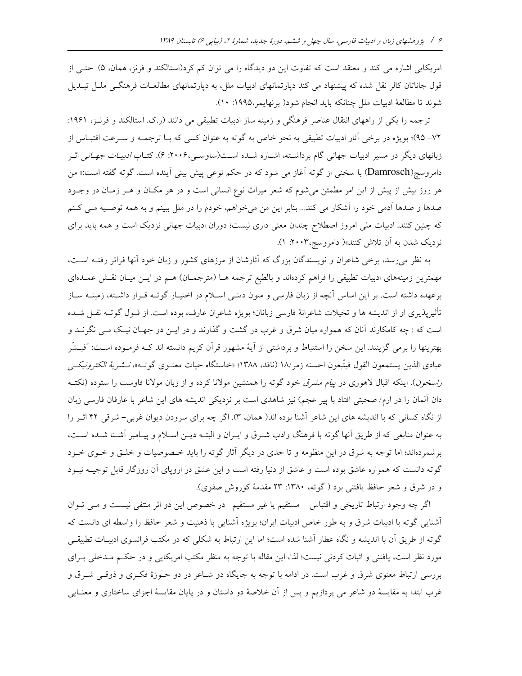امریکایی اشاره می کند و معتقد است که تفاوت این دو دیدگاه را می توان کم کرد(استالکند و فرنز، همان، ۵). حتـی از قول جاناتان کالر نقل شده که پیشنهاد می کند دیارتمانهای ادبیات ملل، به دیارتمانهای مطالعـات فرهنگــی ملــل تبــدیل شوند تا مطالعة ادبيات ملل چنانكه بايد انجام شود( برنهايمر،١٩٩٥: ١٠).

ترجمه را یکی از راههای انتقال عناصر فرهنگی و زمینه ساز ادبیات تطیبقی می دانند (ر.ک. استالکند و فرنـز، ۱۹۶۱: ٧٢– ٩٥)؛ بويژه در برخي آثار ادبيات تطبيقي به نحو خاص به گوته به عنوان كسي كه بـا ترجمــه و ســرعت اقتبــاس از زبانهای دیگر در مسیر ادبیات جهانی گام برداشته، اشـاره شـده اسـت(ساوسـی،۲۰۰۶: ۶). کتـاب *ادبیـات جهـانی* اثـر دامروسچ(Damrosch) با سخنی از گوته آغاز می شود که در حکم نوعی پیش بینی آینده است. گوته گفته است:« من هر روز بیش از پیش از این امر مطمئن میشوم که شعر میراث نوع انسانی است و در هر مکـان و هــر زمــان در وجــود صدها و صدها آدمی خود را آشکار می کند... بنابر این من میخواهم، خودم را در ملل ببینم و به همه توصـیه مـی کـنم که چنین کنند. ادبیات ملی امروز اصطلاح چندان معنی داری نیست؛ دوران ادبیات جهانی نزدیک است و همه باید برای نزدیک شدن به آن تلاش کنند»( دامروسچ،۲۰۰۳: ۱).

به نظر میرسد، برخی شاعران و نویسندگان بزرگ که آثارشان از مرزهای کشور و زبان خود آنها فراتر رفتـه اسـت، مهمترین زمینههای ادبیات تطبیقی را فراهم کردهاند و بالطبع ترجمه هـا (مترجمـان) هـم در ایــن میــان نقــش عمــدهای برعهده داشته است. بر این اساس آنچه از زبان فارسی و متون دینـی اسـلام در اختیـار گوتـه قـرار داشـته، زمینـه سـاز تأثیرپذیری او از اندیشه ها و تخیلات شاعرانهٔ فارسی زبانان؛ بویژه شاعران عارف، بوده است. از قـول گوتــه نقــل شــده است که : چه کامکارند آنان که همواره میان شرق و غرب در گشت و گذارند و در ایــن دو جهـان نیـک مــی نگرنــد و بهترینها را برمی گزینند. این سخن را استنباط و برداشتی از آیهٔ مشهور قرآن کریم دانسته اند کــه فرمـوده اســت: "فبــشّر عبادى الذين يستمعون القول فيتّبعون احسنه زمر/١٨ (ناقد، ١٣٨٨؛ «خاستگاه حيات معنـوى گوتـه»، *نـشرية الكترونيكــى راسخون*). اینکه اقبال لاهوری در *پیام مشرق خود گوته را همنشین مولانا کرده و از زبان مولانا فاوست را ستوده (نکتـه* دان آلمان را در ارم/ صحبتی افتاد با پیر عجم) نیز شاهدی است بر نزدیکی اندیشه های این شاعر با عارفان فارسی زبان از نگاه کسانی که با اندیشه های این شاعر آشنا بوده اند( همان، ۳). اگر چه برای سرودن دیوان غربی- شرقی ۴۲ اثـر را به عنوان منابعی که از طریق آنها گوته با فرهنگ وادب شـرق و ایـران و البتــه دیــن اســلام و پیــامبر آشــنا شــده اســت، برشمردهاند؛ اما توجه به شرق در این منظومه و تا حدی در دیگر آثار گوته را باید خـصوصیات و خلـق و خـوی خـود گوته دانست که همواره عاشق بوده است و عاشق از دنیا رفته است و این عشق در اروپای آن روزگار قابل توجیــه نبــود و در شرق و شعر حافظ یافتنی بود (گوته، ۱۳۸۰: ۲۳ مقدمهٔ کوروش صفوی).

اگر چه وجود ارتباط تاریخی و اقتباس - مستقیم یا غیر مستقیم- در خصوص این دو اثر منتفی نیست و می توان أشنايي گوته با ادبيات شرق و به طور خاص ادبيات ايران؛ بويژه آشنايي با ذهنيت و شعر حافظ را واسطه اي دانست كه گوته از طریق آن با اندیشه و نگاه عطار آشنا شده است؛ اما این ارتباط به شکلی که در مکتب فرانسوی ادبیـات تطبیقـی مورد نظر است، یافتنی و اثبات کردنی نیست؛ لذا، این مقاله با توجه به منظر مکتب امریکایی و در حکـم مـدخلی بـرای بررسی ارتباط معنوی شرق و غرب است. در ادامه با توجه به جایگاه دو شـاعر در دو حــوزهٔ فکــری و ذوقــی شــرق و غرب ابتدا به مقایسهٔ دو شاعر می پردازیم و پس از آن خلاصهٔ دو داستان و در پایان مقایسهٔ اجزای ساختاری و معنــایی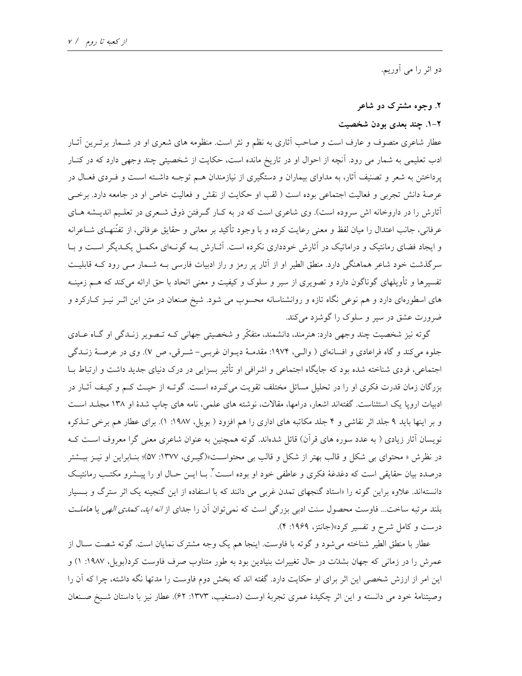دو اثر را می أوريم.

## ۲. وجوه مشترک دو شاعر

## ۲-۱. چند بعدی بودن شخصیت

عطار شاعری متصوف و عارف است و صاحب آثاری به نظم و نثر است. منظومه های شعری او در شـمار برتـرین آثـار ادب تعلیمی به شمار می رود. آنچه از احوال او در تاریخ مانده است، حکایت از شخصیتی چند وجهی دارد که در کنــار پرداختن به شعر و تصنیف آثار، به مداوای بیماران و دستگیری از نیازمندان هـم توجـه داشـته اسـت و فـردی فعـال در عرصهٔ دانش تجربی و فعالیت اجتماعی بوده است ( لقب او حکایت از نقش و فعالیت خاص او در جامعه دارد. برخـی أثارش را در داروخانه اش سروده است). وي شاعري است كه در به كـار گـرفتن ذوق شـعري در تعلـيم انديــشه هــاي عرفانی، جانب اعتدال را میان لفظ و معنی رعایت کرده و با وجود تأکید بر معانی و حقایق عرفانی، از تفنّنهـای شــاعرانه و ایجاد فضای رمانتیک و دراماتیک در آثارش خودداری نکرده است. آثـارش بـه گونـهای مکمـل یکـدیگر اسـت و بـا سرگذشت خود شاعر هماهنگی دارد. منطق الطیر او از آثار پر رمز و راز ادبیات فارسی بـه شـمار مـی رود کـه قابلیـت تفسیرها و تأویلهای گوناگون دارد و تصویری از سیر و سلوک و کیفیت و معنی اتحاد با حق ارائه میکند که هــم زمینــه های اسطورهای دارد و هم نوعی نگاه تازه و روانشناسانه محسوب می شود. شیخ صنعان در متن این اثـر نیـز کــارکرد و ضرورت عشق در سیر و سلوک را گوشزد میکند.

گو ته نیز شخصیت چند وجهی دارد: هنرمند، دانشمند، متفکّر و شخصیتی جهانی کـه تـصویر زنـدگی او گـاه عــادی جلوه مي كند و گاه فراعادي و افسانهاي ( والبي، ١٩٧۴: مقدمـهٔ ديـوان غربـي- شـرقي، ص V). وي در عرصـهٔ زنــدگي اجتماعی، فردی شناخته شده بود که جایگاه اجتماعی و اشرافی او تأثیر بسزایی در درک دنیای جدید داشت و ارتباط بــا بزرگان زمان قدرت فکری او را در تحلیل مسائل مختلف تقویت میکرده است. گوتـه از حیـث کـم و کیـف آثـار در ادبیات اروپا یک استثناست. گفتهاند اشعار، درامها، مقالات، نوشته های علمی، نامه های چاپ شدهٔ او ۱۳۸ مجلـد اسـت و بر اینها باید ۹ جلد اثر نقاشی و ۴ جلد مکاتبه های اداری را هم افزود ( بویل، ۱۹۸۷: ۱). برای عطار هم برخی تـذکره نویسان آثار زیادی ( به عدد سوره های قرآن) قائل شدهاند. گوته همچنین به عنوان شاعری معنی گرا معروف است ک در نظرش « محتوای بی شکل و قالب بهتر از شکل و قالب بی محتواسـت»(گیــری، ۱۳۷۷: ۵۷)؛ بنــابراین او نیــز بیــشتر درصدد بیان حقایقی است که دغدغهٔ فکری و عاطفی خود او بوده است". بـا ایــن حــال او را پیــشرو مکتــب رمانتیـک دانستهاند. علاوه براین گوته را «استاد گنجهای تمدن غربی می دانند که با استفاده از این گنجینه یک اثر سترگ و بـسیار بلند مرتبه ساخت... فاوست محصول سنت ادب<sub>ی</sub> بزرگی است که نمیتوان آن را جدای از *انه اید، کمدی الهی* یا *هاملـت* درست و کامل شرح و تفسیر کرد»(جانتز، ۱۹۶۹: ۴).

عطار با منطق الطیر شناخته می شود و گوته با فاوست. اینجا هم یک وجه مشترک نمایان است. گوته شصت سـال از عمرش را در زمانی که جهان بشدّت در حال تغییرات بنیادین بود به طور متناوب صرف فاوست کرد(بویل، ۱۹۸۷: ۱) و این امر از ارزش شخصی این اثر برای او حکایت دارد. گفته اند که بخش دوم فاوست را مدتها نگه داشته، چرا که آن را وصيتنامهٔ خود می دانسته و اين اثر چکيدهٔ عمري تجربهٔ اوست (دستغيب، ۱۳۷۳: ۶۲). عطار نيز با داستان شـيخ صـنعان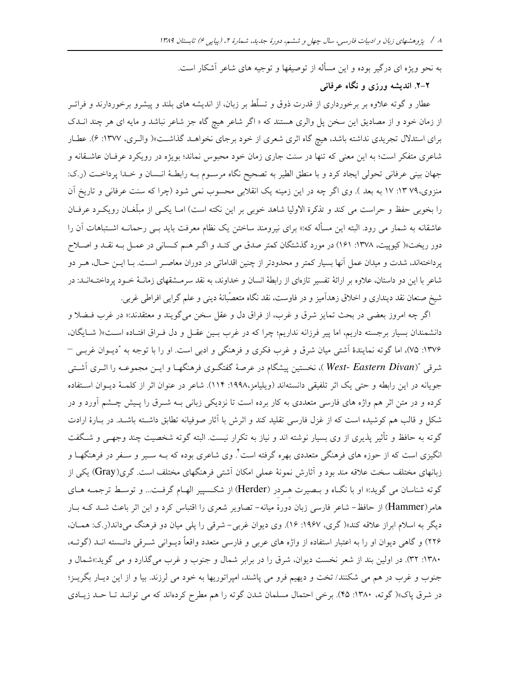به نحو ویژه ای درگیر بوده و این مسأله از توصیفها و توجیه های شاعر آشکار است. ۲–۲. اندیشه ورزی و نگاه عرفانی

عطار و گوته علاوه بر برخورداری از قدرت ذوق و تسلّط بر زبان، از اندیشه های بلند و پیشرو برخوردارند و فراتـر از زمان خود و از مصادیق این سخن پل والری هستند که « اگر شاعر هیچ گاه جز شاعر نباشد و مایه ای هر چند انــدک برای استدلال تجریدی نداشته باشد، هیچ گاه اثری شعری از خود برجای نخواهـد گذاشـت»( والـری، ۱۳۷۷: ۶). عطـار شاعری متفکر است؛ به این معنی که تنها در سنت جاری زمان خود محبوس نماند؛ بویژه در رویکرد عرفـان عاشـقانه و جهان بینی عرفانی تحولی ایجاد کرد و با منطق الطیر به تصحیح نگاه مرسـوم بـه رابطـهٔ انـسان و خـدا پرداخـت (ر.ک: منزوی،۷۹ ۱۳: ۱۷ به بعد ). وی اگر چه در این زمینه یک انقلابی محسوب نمی شود (چرا که سنت عرفانی و تاریخ آن را بخوبی حفظ و حراست می کند و تذکرة الاولیا شاهد خوبی بر این نکته است) امـا یکـی از مبلّغـان رویکـرد عرفـان عاشقانه به شمار می رود. البته این مسأله که:« برای نیرومند ساختن یک نظام معرفت باید بـی رحمانــه اشــتباهات آن را دور ریخت»( کیوپیت، ۱۳۷۸: ۱۶۱) در مورد گذشتگان کمتر صدق می کنـد و اگـر هـم کـسانی در عمـل بـه نقـد و اصـلاح پرداختهاند، شدت و میدان عمل آنها بسیار کمتر و محدودتر از چنین اقداماتی در دوران معاصـر اسـت. بـا ایــن حــال، هــر دو شاعر با این دو داستان، علاوه بر ارائهٔ تفسیر تازهای از رابطهٔ انسان و خداوند، به نقد سرمـشقهای زمانــهٔ خــود پرداختــهانــد: در شیخ صنعان نقد دینداری و اخلاق زهداَمیز و در فاوست، نقد نگاه متعصّبانهٔ دینی و علم گرایی افراطی غربی.

اگر چه امروز بعضی در بحث تمایز شرق و غرب، از فراق دل و عقل سخن میگویند و معتقدند:« در غرب فــضلا و دانشمندان بسیار برجسته داریم، اما پیر فرزانه نداریم؛ چرا که در غرب بـین عقـل و دل فـراق افتـاده اسـت»( شـایگان، ۱۳۷۶: ۷۵)، اما گوته نمایندهٔ آشتی میان شرق و غرب فکری و فرهنگی و ادبی است. او را با توجه به "دیـوان غربـی – شرقی "(West- Eastern Divan)، نخستین پیشگام در عرصهٔ گفتگـوی فرهنگهـا و ایــن مجموعــه را اثــری اَشـتـی جويانه در اين رابطه و حتى يك اثر تلفيقي دانستهاند (ويليامز،١٩٩٨: ١١۴). شاعر در عنوان اثر از كلمـهٔ ديـوان اسـتفاده کرده و در متن اثر هم واژه های فارسی متعددی به کار برده است تا نزدیکی زبانی بـه شــرق را پـیش چــشم آورد و در شکل و قالب هم کوشیده است که از غزل فارسی تقلید کند و اثرش با آثار صوفیانه تطابق داشته باشـد. در بـارهٔ ارادت گوته به حافظ و تأثیر پذیری از وی بسیار نوشته اند و نیاز به تکرار نیست. البته گوته شخصیت چند وجهی و شـگفت انگیزی است که از حوزه های فرهنگی متعددی بهره گرفته است ٌ. وی شاعری بوده که بــه ســیر و ســفر در فرهنگهــا و زبانهای مختلف سخت علاقه مند بود و آثارش نمونهٔ عملی امکان آشتی فرهنگهای مختلف است. گری(Gray) یکی از گوته شناسان می گوید:« او با نگـاه و بـصیرت هـردر (Herder) از شکـسپیر الهـام گرفـت... و توسـط ترجمـه هـای هامر(Hammer) از حافظ- شاعر فارسی زبان دورهٔ میانه- تصاویر شعری را اقتباس کرد و این اثر باعث شـد کـه بـار دیگر به اسلام ابراز علاقه کند»( گری، ۱۹۶۷: ۱۶). وی دیوان غربی- شرقی را پلی میان دو فرهنگ میداند(ر.ک: همـان، ۲۲۶) و گاهی دیوان او را به اعتبار استفاده از واژه های عربی و فارسی متعدد واقعاً دیــوانی شــرقی دانــسته انــد (گوتــه، ۱۳۸۰: ۳۲). در اولین بند از شعر نخست دیوان، شرق را در برابر شمال و جنوب و غرب می گذارد و می گوید:«شمال و جنوب و غرب در هم می شکنند/ تخت و دیهیم فرو می پاشند، امپراتوریها به خود می لرزند. بیا و از این دیـار بگریــز؛ در شرق پاک»( گوته، ۱۳۸۰: ۴۵). برخی احتمال مسلمان شدن گوته را هم مطرح کردهاند که می توانـد تـا حـد زيـادی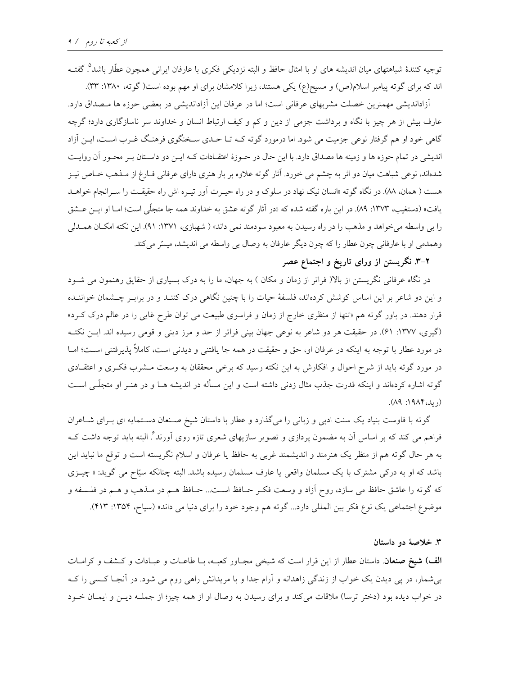توجيه كنندهٔ شباهتهاي ميان انديشه هاي او با امثال حافظ و البته نزديكي فكرى با عارفان ايراني همچون عطّار باشد°. گفتـه اند که برای گوته پیامبر اسلام(ص) و مسیح(ع) یکی هستند، زیرا کلامشان برای او مهم بوده است( گوته، ۱۳۸۰: ۳۳).

آزاداندیشی مهمترین خصلت مشربهای عرفانی است؛ اما در عرفان این آزاداندیشی در بعضی حوزه ها مـصداق دارد. عارف بیش از هر چیز با نگاه و برداشت جزمی از دین و کم و کیف ارتباط انسان و خداوند سر ناسازگاری دارد؛ گرچه گاهی خود او هم گرفتار نوعی جزمیت می شود. اما درمورد گوته کـه تـا حـدی سـخنگوی فرهنـگ غـرب اسـت، ایـن آزاد اندیشی در تمام حوزه ها و زمینه ها مصداق دارد. با این حال در حـوزهٔ اعتقـادات کـه ایــن دو داســتان بــر محــور آن روایــت شدهاند، نوعی شباهت میان دو اثر به چشم می خورد. آثار گوته علاوه بر بار هنری دارای عرفانی فـارغ از مـذهب خـاص نیـز هست ( همان، ۸۸). در نگاه گوته «انسان نیک نهاد در سلوک و در راه حیــرت آور تیــره اش راه حقیقــت را ســرانجام خواهــد يافت» (دستغيب، ١٣٧٣: ٨٩). در اين باره گفته شده كه «در آثار گوته عشق به خداوند همه جا متجلّي است؛ امـا او ايــن عــشق را بی واسطه میخواهد و مذهب را در راه رسیدن به معبود سودمند نمی داند» ( شهبازی، ۱۳۷۱: ۹۱). این نکته امکـان همــدلی وهمدمی او با عارفانی چون عطار را که چون دیگر عارفان به وصال بی واسطه می اندیشد، میسّر می کند.

۲–۳. نگریستن از ورای تاریخ و اجتماع عصر

در نگاه عرفانی نگریستن از بالا( فراتر از زمان و مکان ) به جهان، ما را به درک بسیاری از حقایق رهنمون می شـود و این دو شاعر بر این اساس کوشش کردهاند، فلسفهٔ حیات را با چنین نگاهی درک کننـد و در برابـر چـشمان خواننـده قرار دهند. در باور گوته هم «تنها از منظری خارج از زمان و فراسوی طبیعت می توان طرح غایی را در عالم درک کـرد» (گیری، ۱۳۷۷: ۶۱). در حقیقت هر دو شاعر به نوعی جهان بینی فراتر از حد و مرز دینی و قومی رسیده اند. ایــن نکتــه در مورد عطار با توجه به اینکه در عرفان او، حق و حقیقت در همه جا یافتنی و دیدنی است، کاملاً پذیرفتنی است؛ امــا در مورد گوته باید از شرح احوال و افکارش به این نکته رسید که برخی محققان به وسعت مـشرب فکـری و اعتقـادی گوته اشاره کردهاند و اینکه قدرت جذب مثال زدنی داشته است و این مسأله در اندیشه هــا و در هنــر او متجلّــی اســت  $(1919A)$ 

گوته با فاوست بنیاد یک سنت ادبی و زبانی را میگذارد و عطار با داستان شیخ صـنعان دسـتمایه ای بـرای شـاعران فراهم می کند که بر اساس آن به مضمون پردازی و تصویر سازیهای شعری تازه روی آورند<sup>؟</sup>. البته باید توجه داشت کــه به هر حال گوته هم از منظر یک هنرمند و اندیشمند غربی به حافظ یا عرفان و اسلام نگریسته است و توقع ما نباید این باشد که او به درکی مشترک با یک مسلمان واقعی یا عارف مسلمان رسیده باشد. البته چنانکه سیّاح می گوید: « چیـزی كه گوته را عاشق حافظ مى سازد، روح آزاد و وسعت فكـر حـافظ اسـت... حــافظ هــم در مــذهب و هــم در فلــسفه و موضوع اجتماعي يک نوع فکر بين المللي دارد... گوته هم وجود خود را براي دنيا مي داند» (سياح، ١٣٥۴: ٢١٣).

۳. خلاصهٔ دو داستان

**الف) شیخ صنعان** داستان عطار از این قرار است که شیخی مجـاور کعبـه، بـا طاعـات و عبـادات و کــشف و کرامــات بی شمار، در پی دیدن یک خواب از زندگی زاهدانه و آرام جدا و با مریدانش راهی روم می شود. در آنجـا کـسی را کـه در خواب دیده بود (دختر ترسا) ملاقات میکند و برای رسیدن به وصال او از همه چیز؛ از جملـه دیـن و ایمـان خـود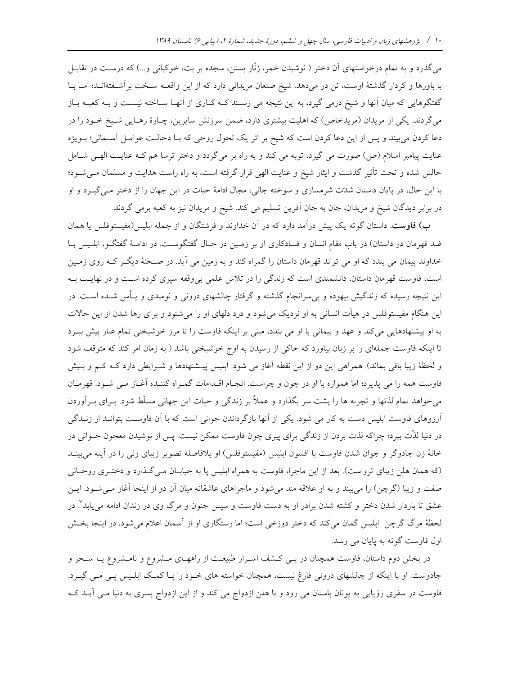میگذرد و به تمام درخواستهای آن دختر ( نوشیدن خمر، زنّار بستن، سجده بر بت، خوکبانی و...) که درسـت در تقابـل با باورها و كردار گذشتهٔ اوست، تن در مى دهد. شيخ صنعان مريدانى دارد كه از اين واقعــه سـخت برآشــفتهانــد؛ امــا بــا گفتگوهایی که میان آنها و شیخ درمی گیرد، به این نتیجه می رسـند کــه کــاری از آنهــا ســاخته نیــست و بــه کعبــه بــاز میگردند. یکی از مریدان (مریدخاص) که اهلیت بیشتری دارد، ضمن سرزنش سایرین، چـارهٔ رهـایی شـیخ خـود را در دعا کردن می بیند و پس از این دعا کردن است که شیخ بر اثر یک تحول روحی که بـا دخالـت عوامـل آسـمانی؛ بـویژه عنایت پیامبر اسلام (ص) صورت می گیرد، توبه می کند و به راه بر میگردد و دختر ترسا هم کـه عنایـت الهـی شـامل حالش شده و تحت تأثیر گذشت و ایثار شیخ و عنایت الهی قرار گرفته است، به راه راست هدایت و مسلمان مـیشـود؛ با این حال، در پایان داستان شدّت شرمساری و سوخته جانبی، مجال ادامهٔ حیات در این جهان را از دختر مـیEیـرد و او در برابر دیدگان شیخ و مریدان، جان به جان اَفرین تسلیم می کند. شیخ و مریدان نیز به کعبه برمی گردند.

ب) فاوست. داستان گوته یک پیش درآمد دارد که در آن خداوند و فرشتگان و از جمله ابلیس(مفیستوفلس یا همان ضد قهرمان در داستان) در باب مقام انسان و فسادکاری او بر زمـین در حـال گفتگوسـت. در ادامـهٔ گفتگـو، ابلـیس بـا خداوند پیمان می بندد که او می تواند قهرمان داستان را گمراه کند و به زمین می آید. در صـحنهٔ دیگـر کـه روی زمـین است، فاوست قهرمان داستان، دانشمندی است که زندگی را در تلاش علمی بی وقفه سپری کرده است و در نهایـت بـه این نتیجه رسیده که زندگیش بیهوده و بی سرانجام گذشته و گرفتار چالشهای درونی و نومیدی و پـأس شــده اســت. در این هنگام مفیستوفلس در هیأت انسانی به او نزدیک میشود و درد دلهای او را میشنود و برای رها شدن از این حالات به او پیشنهادهایی میکند و عهد و پیمانی با او می بندد، مبنی بر اینکه فاوست را تا مرز خوشبختی تمام عیار پیش ببـرد تا اینکه فاوست جملهای را بر زبان بیاورد که حاکی از رسیدن به اوج خوشبختی باشد ( به زمان امر کند که متوقف شود و لحظهٔ زیبا باقی بماند). همراهی این دو از این نقطه آغاز می شود. ابلیس پیـشنهادها و شـرایطی دارد کـه کـم و بـیش فاوست همه را می پذیرد؛ اما همواره با او در چون و چراست. انجـام اقـدامات گمـراه کننـده آغـاز مـی شـود. قهرمـان میخواهد تمام لذتها و تجربه ها را پشت سر بگذارد و عملاً بر زندگی و حیات این جهانی مسلّط شود. بــرای بــرآوردن آرزوهای فاوست ابلیس دست به کار می شود. یکی از آنها بازگرداندن جوانی است که با آن فاوست بتوانـد از زنـدگی در دنیا لذّت ببرد؛ چراکه لذت بردن از زندگی برای پیری چون فاوست ممکن نیست. پس از نوشیدن معجون جــوانی در خانهٔ زن جادوگر و جوان شدن فاوست با افسون ابلیس (مفیستوفلس) او بلافاصله تصویر زیبای زنی را در آینه میبینــد (که همان هلن زیبای ترواست). بعد از این ماجرا، فاوست به همراه ابلیس یا به خیابان مـی گـذارد و دختـری روحـانی صفت و زیبا (گرچن) را می بیند و به او علاقه مند می شود و ماجراهای عاشقانه میان آن دو از اینجا آغاز مـی شـود. ایـن عشق تا باردار شدن دختر و کشته شدن برادر او به دست فاوست و سپس جنون و مرگ وی در زندان ادامه مییابد ٌ. در لحظهٔ مرگ گرچن ابلیس گمان میکند که دختر دوزخی است؛ اما رستگاری او از آسمان اعلام میشود. در اینجا بخـش اول فاوست گوته به پایان می رسد.

در بخش دوم داستان، فاوست همچنان در پـی کـشف اسـرار طبیعـت از راههـای مـشروع و نامـشروع یـا سـحر و جادوست. او با اینکه از چالشهای درونی فارغ نیست، همچنان خواسته های خـود را بـا کمـک ابلـیس پـی مـی گیـرد. فاوست در سفری رؤیایی به یونان باستان می رود و با هلن ازدواج می کند و از این ازدواج پسری به دنیا مـی آیــد کــه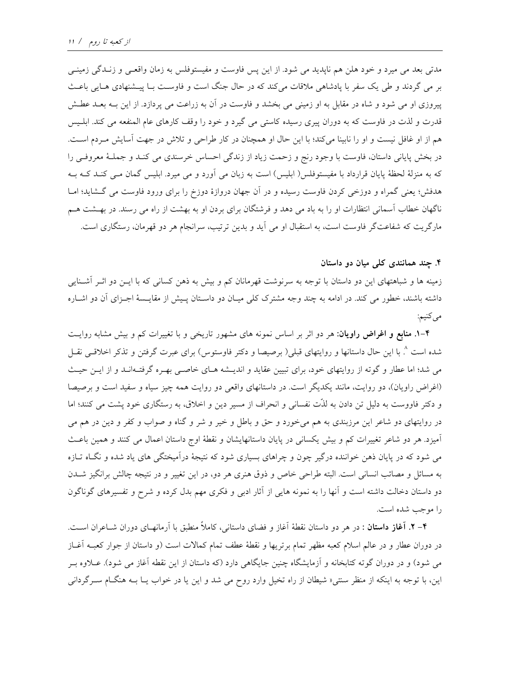مدتی بعد می میرد و خود هلن هم ناپدید می شود. از این پس فاوست و مفیستوفلس به زمان واقعـی و زنـدگی زمینـی بر می گردند و طی یک سفر با یادشاهی ملاقات می کند که در حال جنگ است و فاوست بـا پیــشنهادی هــایی باعــث پیروزی او می شود و شاه در مقابل به او زمینی می بخشد و فاوست در آن به زراعت می پردازد. از این بـه بعـد عطـش قدرت و لذت در فاوست که به دوران پیری رسیده کاستی می گیرد و خود را وقف کارهای عام المنفعه می کند. ابلـیس هم از او غافل نیست و او را نابینا میکند؛ با این حال او همچنان در کار طراحی و تلاش در جهت آسایش مـردم اسـت. در بخش پایانی داستان، فاوست با وجود رنج و زحمت زیاد از زندگی احساس خرسندی می کنـد و جملـهٔ معروفـی را که به منزلهٔ لحظهٔ پایان قرارداد با مفیستوفلس( ابلیس) است به زبان می آورد و می میرد. ابلیس گمان مـی کنــد کــه بــه هدفش؛ یعنی گمراه و دوزخی کردن فاوست رسیده و در آن جهان دروازهٔ دوزخ را برای ورود فاوست می گشاید؛ امـا ناگهان خطاب آسمانی انتظارات او را به باد می دهد و فرشتگان برای بردن او به بهشت از راه می رسند. در بهـشت هـم مارگریت که شفاعتگر فاوست است، به استقبال او می آید و بدین ترتیب، سرانجام هر دو قهرمان، رستگاری است.

#### ۴. چند همانندی کلی میان دو داستان

زمینه ها و شباهتهای این دو داستان با توجه به سرنوشت قهرمانان کم و بیش به ذهن کسانی که با ایــن دو اثــر آشــنایی داشته باشند، خطور می کند. در ادامه به چند وجه مشترک کلی میـان دو داسـتان پـیش از مقایـسهٔ اجـزای آن دو اشــاره مي کنيم:

**۴-۱. منابع و اغراض راویان**: هر دو اثر بر اساس نمونه های مشهور تاریخی و با تغییرات کم و بیش مشابه روایـت شده است ^ با این حال داستانها و روایتهای قبلی( برصیصا و دکتر فاوستوس) برای عبرت گرفتن و تذکر اخلاقــی نقــل می شد؛ اما عطار و گوته از روایتهای خود، برای تبیین عقاید و اندیـشه هـای خاصـی بهـره گرفتـهانـد و از ایـن حیـث (اغراض راویان)، دو روایت، مانند یکدیگر است. در داستانهای واقعی دو روایت همه چیز سیاه و سفید است و برصیصا و دکتر فاووست به دلیل تن دادن به لذّت نفسانی و انحراف از مسیر دین و اخلاق، به رستگاری خود پشت می کنند؛ اما در روایتهای دو شاعر این مرزبندی به هم میخورد و حق و باطل و خیر و شر و گناه و صواب و کفر و دین در هم می آمیزد. هر دو شاعر تغییرات کم و بیش یکسانی در پایان داستانهایشان و نقطهٔ اوج داستان اعمال می کنند و همین باعث می شود که در پایان ذهن خواننده درگیر چون و چراهای بسیاری شود که نتیجهٔ درآمیختگی های یاد شده و نگـاه تـازه به مسائل و مصائب انسانی است. البته طراحی خاص و ذوق هنری هر دو، در این تغییر و در نتیجه چالش برانگیز شــدن دو داستان دخالت داشته است و آنها را به نمونه هایی از آثار ادبی و فکری مهم بدل کرده و شرح و تفسیرهای گوناگون را موجب شده است.

**۴- ۲. آغاز داستان** : در هر دو داستان نقطهٔ آغاز و فضای داستانی، کاملاً منطبق با آرمانهـای دوران شــاعران اســت. در دوران عطار و در عالم اسلام كعبه مظهر تمام برتريها و نقطهٔ عطف تمام كمالات است (و داستان از جوار كعبـه آغــاز می شود) و در دوران گوته کتابخانه و اَزمایشگاه چنین جایگاهی دارد (که داستان از این نقطه اَغاز می شود). عــلاوه بــر این، با توجه به اینکه از منظر سنتبی« شیطان از راه تخیل وارد روح می شد و این یا در خواب یـا بــه هنگــام ســرگردانبی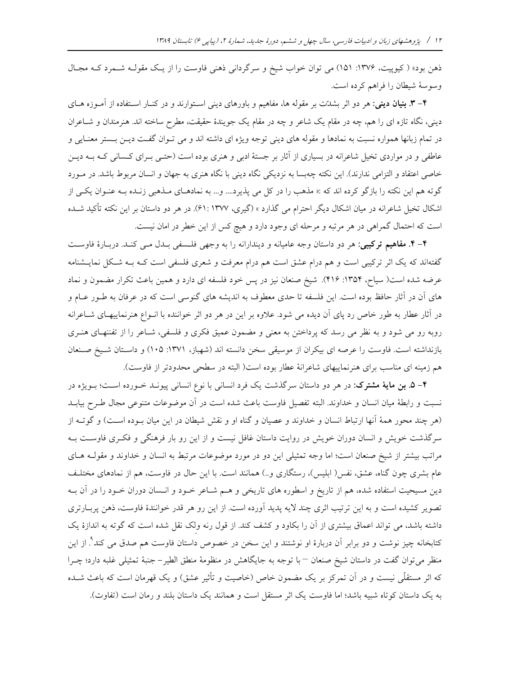ذهن بود» (کیوپیت، ۱۳۷۶: ۱۵۱) می توان خواب شیخ و سرگردانی ذهنی فاوست را از یک مقولـه شـمرد کـه مجـال وسوسهٔ شیطان را فراهم کرده است.

۴– ۳. بنیان دینی: هر دو اثر بشدّت بر مقوله ها، مفاهیم و باورهای دینی استوارند و در کنـار اسـتفاده از آمـوزه هـای دینی، نگاه تازه ای را هم، چه در مقام یک شاعر و چه در مقام یک جویندهٔ حقیقت، مطرح ساخته اند. هنرمندان و شــاعران در تمام زبانها همواره نسبت به نمادها و مقوله های دینی توجه ویژه ای داشته اند و می تـوان گفـت دیـن بـستر معنـایی و عاطفی و در مواردی تخیل شاعرانه در بسیاری از آثار بر جستهٔ ادبی و هنری بوده است (حتـبی بـرای کـسانی کـه بــه دیــن خاصی اعتقاد و التزامی ندارند). این نکته چهبسا به نزدیکی نگاه دینی با نگاه هنری به جهان و انسان مربوط باشد. در مـورد گوته هم این نکته را بازگو کرده اند که :« مذهب را در کل می پذیرد.... و... به نمادهـای مـذهبی زنـده بـه عنـوان یکـی از اشکال تخیل شاعرانه در میان اشکال دیگر احترام می گذارد » (گیری، ۱۳۷۷ :۶۱). در هر دو داستان بر این نکته تأکید شـده است که احتمال گمراهی در هر مرتبه و مرحله ای وجود دارد و هیچ کس از این خطر در امان نیست.

۴- ۴. مفاهیم ترکیبی: هر دو داستان وجه عامیانه و دیندارانه را به وجهی فلسفی بـدل مـی کنـد. دربـارهٔ فاوسـت گفتهاند که یک اثر ترکیبی است و هم درام عشق است هم درام معرفت و شعری فلسفی است کـه بـه شـکل نمایــشنامه عرضه شده است( سیاح، ۱۳۵۴: ۱۴۱۶). شیخ صنعان نیز در پس خود فلسفه ای دارد و همین باعث تکرار مضمون و نماد های آن در آثار حافظ بوده است. این فلسفه تا حدی معطوف به اندیشه های گنوسی است که در عرفان به طـور عـام و در آثار عطار به طور خاص رد پای آن دیده می شود. علاوه بر این در هر دو اثر خواننده با انـواع هنرنماییهـای شــاعرانه روبه رو می شود و به نظر می رسد که پرداختن به معنی و مضمون عمیق فکری و فلسفی، شـاعر را از تفننهـای هنـری بازنداشته است. فاوست را عرصه ای بیکران از موسیقی سخن دانسته اند (شهباز، ۱۳۷۱: ۱۰۵) و داستان شـیخ صـنعان هم زمینه ای مناسب برای هنرنماییهای شاعرانهٔ عطار بوده است( البته در سطحی محدودتر از فاوست).

۴– ۵. بن مایهٔ مشترک: در هر دو داستان سرگذشت یک فرد انسانی با نوع انسانی پیونــد خــورده اســت؛ بــویژه در نسبت و رابطهٔ میان انسان و خداوند. البته تفصیل فاوست باعث شده است در آن موضوعات متنوعی مجال طـرح بیابــد (هر چند محور همهٔ آنها ارتباط انسان و خداوند و عصیان و گناه او و نقش شیطان در این میان بـوده اسـت) و گوتــه از سرگذشت خویش و انسان دوران خویش در روایت داستان غافل نیست و از این رو بار فرهنگی و فکری فاوست بـه مراتب بیشتر از شیخ صنعان است؛ اما وجه تمثیلی این دو در مورد موضوعات مرتبط به انسان و خداوند و مقولـه هـای عام بشری چون گناه، عشق، نفس( ابلیس)، رستگاری و…) همانند است. با این حال در فاوست، هم از نمادهای مختلـف دین مسیحیت استفاده شده، هم از تاریخ و اسطوره های تاریخی و هــم شــاعر خــود و انــسان دوران خــود را در آن بــه تصویر کشیده است و به این ترتیب اثری چند لایه پدید آورده است. از این رو هر قدر خوانندهٔ فاوست، ذهن پربـارتری داشته باشد، می تواند اعماق بیشتری از آن را بکاود و کشف کند. از قول رنه ولک نقل شده است که گوته به اندازهٔ یک کتابخانه چیز نوشت و دو برابر آن دربارهٔ او نوشتند و این سخن در خصوص داستان فاوست هم صدق می کند<sup>۹</sup>. از این منظر می توان گفت در داستان شیخ صنعان —با توجه به جایگاهش در منظومهٔ منطق الطیر– جنبهٔ تمثیلی غلبه دارد؛ چـرا که اثر مستقلَّی نیست و در آن تمرکز بر یک مضمون خاص (خاصیت و تأثیر عشق) و یک قهرمان است که باعث شـده به یک داستان کوتاه شبیه باشد؛ اما فاوست یک اثر مستقل است و همانند یک داستان بلند و رمان است (تفاوت).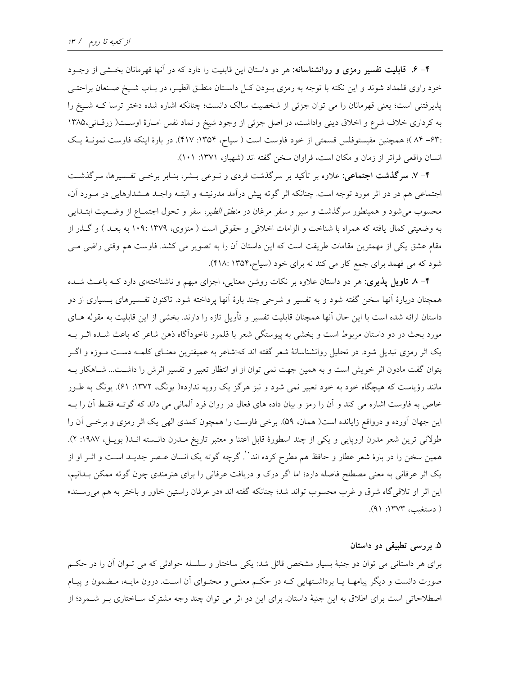۴– ۶. قابلیت تفسیر رمزی و روانشناسانه: هر دو داستان این قابلیت را دارد که در آنها قهرمانان بخـشی از وجـود خود راوی قلمداد شوند و این نکته با توجه به رمزی بـودن کـل داسـتان منطـق الطيـر، در بــاب شـيخ صـنعان براحتــی یذیرفتنی است؛ یعنی قهرمانان را می توان جزئی از شخصیت سالک دانست؛ چنانکه اشاره شده دختر ترسا کـه شـیخ را به کرداری خلاف شرع و اخلاق دینی واداشت، در اصل جزئی از وجود شیخ و نماد نفس امـارهٔ اوسـت( زرقـانی،۱۳۸۵ :۶۳–۸۴)؛ همچنین مفیستوفلس قسمتی از خود فاوست است ( سیاح، ۱۳۵۴: ۴۱۷). در بارهٔ اینکه فاوست نمونـهٔ یـک انسان واقعی فراتر از زمان و مکان است، فراوان سخن گفته اند (شهباز، ۱۳۷۱: ۱۰۱).

۴- ۷. **سرگذشت اجتماعی**: علاوه بر تأکید بر سرگذشت فردی و نـوعی بــشر، بنـابر برخــی تفــسیرها، سرگذشــت اجتماعی هم در دو اثر مورد توجه است. چنانکه اثر گوته پیش درآمد مدرنیتـه و البتـه واجـد هـشدارهایی در مـورد آن، محسوب میشود و همینطور سرگذشت و سیر و سفر مرغان در *منطق الطیر، سف*ر و تحول اجتمــاع از وضــعیت ابتــدایی به وضعیتی کمال یافته که همراه با شناخت و الزامات اخلاقی و حقوقی است ( منزوی، ۱۳۷۹: ۱۰۹ به بعـد ) و گـذر از مقام عشق یکی از مهمترین مقامات طریقت است که این داستان آن را به تصویر می کشد. فاوست هم وقتی راضی مـی شود که می فهمد برای جمع کار می کند نه برای خود (سیاح،۱۳۵۴ :۴۱۸).

۴– ۸ **تاویل پذیری**: هر دو داستان علاوه بر نکات روشن معنایی، اجزای مبهم و ناشناختهای دارد کـه باعـث شـده همچنان دربارهٔ آنها سخن گفته شود و به تفسیر و شرحی چند بارهٔ آنها پرداخته شود. تاکنون تفـسیرهای بـسیاری از دو داستان ارائه شده است با این حال آنها همچنان قابلیت تفسیر و تأویل تازه را دارند. بخشی از این قابلیت به مقوله هــای مورد بحث در دو داستان مربوط است و بخشی به پیوستگی شعر با قلمرو ناخودآگاه ذهن شاعر که باعث شـده اثــر بــه یک اثر رمزی تبدیل شود. در تحلیل روانشناسانهٔ شعر گفته اند که«شاعر به عمیقترین معنـای کلمــه دســت مــوزه و اگــر بتوان گفت مادون اثر خویش است و به همین جهت نمی توان از او انتظار تعبیر و تفسیر اثرش را داشـت... شـاهکار بـه مانند رؤیاست که هیچگاه خود به خود تعبیر نمی شود و نیز هرگز یک رویه ندارد»( یونگ، ۱۳۷۲: ۶۱). یونگ به طـور خاص به فاوست اشاره می کند و آن را رمز و بیان داده های فعال در روان فرد المانی می داند که گوتـه فقـط آن را بـه این جهان آورده و درواقع زایانده است( همان، ۵۹). برخی فاوست را همچون کمدی الهی یک اثر رمزی و برخـی آن را طولانی ترین شعر مدرن اروپایی و یکی از چند اسطورهٔ قابل اعتنا و معتبر تاریخ مـدرن دانـسته انـد( بویـل، ۱۹۸۷: ۲). همین سخن را در بارهٔ شعر عطار و حافظ هم مطرح کرده اند``. گرچه گوته یک انسان عـصر جدیــد اســت و اثــر او از یک اثر عرفانی به معنی مصطلح فاصله دارد؛ اما اگر درک و دریافت عرفانی را برای هنرمندی چون گوته ممکن بـدانیم، این اثر او تلاقی گاه شرق و غرب محسوب تواند شد؛ چنانکه گفته اند «در عرفان راستین خاور و باختر به هم می رسـند» ( دستغیب، ۱۳۷۳: ۹۱).

#### ۵. بررسی تطبیقی دو داستان

برای هر داستانی می توان دو جنبهٔ بسیار مشخص قائل شد: یکی ساختار و سلسله حوادثی که می تـوان آن را در حکـم صورت دانست و دیگر پیامهـا یـا برداشـتهایی کـه در حکـم معنـی و محتـوای آن اسـت. درون مایـه، مـضمون و پیـام اصطلاحاتی است برای اطلاق به این جنبهٔ داستان. برای این دو اثر می توان چند وجه مشترک سـاختاری بـر شـمرد؛ از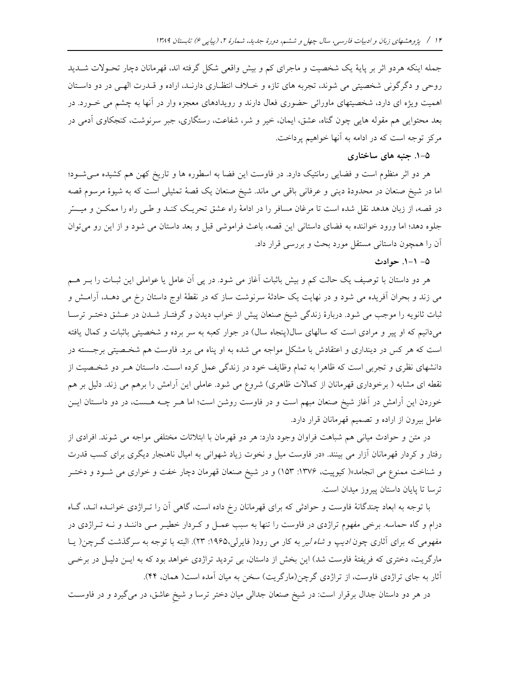جمله اینکه هردو اثر بر پایهٔ یک شخصیت و ماجرای کم و بیش واقعی شکل گرفته اند، قهرمانان دچار تحـولات شــدید روحي و دگرگوني شخصيتي مي شوند، تجربه هاي تازه و خـلاف انتظـاري دارنـد، اراده و قـدرت الهـي در دو داسـتان اهمیت ویژه ای دارد، شخصیتهای ماورائی حضوری فعال دارند و رویدادهای معجزه وار در آنها به چشم می خــورد. در بعد محتوایی هم مقوله هایی چون گناه، عشق، ایمان، خیر و شر، شفاعت، رستگاری، جبر سرنوشت، کنجکاوی آدمی در مرکز توجه است که در ادامه به آنها خواهیم پرداخت.

## ۵–۱. جنبه های ساختاری

هر دو اثر منظوم است و فضایی رمانتیک دارد. در فاوست این فضا به اسطوره ها و تاریخ کهن هم کشیده می شود؛ اما در شیخ صنعان در محدودهٔ دینی و عرفانی باقی می ماند. شیخ صنعان یک قصهٔ تمثیلی است که به شیوهٔ مرسوم قصه در قصه، از زبان هدهد نقل شده است تا مرغان مسافر را در ادامهٔ راه عشق تحریک کنـد و طـی راه را ممکــن و میــسّر جلوه دهد؛ اما ورود خواننده به فضاى داستانى اين قصه، باعث فراموشى قبل و بعد داستان مى شود و از اين رو مى توان أن را همچون داستانی مستقل مورد بحث و بررسی قرار داد.

۵- ۱-۱. حوادث

هر دو داستان با توصیف یک حالت کم و بیش باثبات آغاز می شود. در پی آن عامل یا عواملی این ثبـات را بــر هــم می زند و بحران آفریده می شود و در نهایت یک حادثهٔ سرنوشت ساز که در نقطهٔ اوج داستان رخ می دهـد، آرامـش و ثبات ثانويه را موجب مي شود. دربارهٔ زندگي شيخ صنعان پيش از خواب ديدن و گرفتـار شـدن در عـشق دختـر ترسـا میدانیم که او پیر و مرادی است که سالهای سال(پنجاه سال) در جوار کعبه به سر برده و شخصیتی باثبات و کمال یافته است که هر کس در دینداری و اعتقادش با مشکل مواجه می شده به او پناه می برد. فاوست هم شخـصیتی برجـسته در دانشهای نظری و تجربی است که ظاهرا به تمام وظایف خود در زندگی عمل کرده است. داسـتان هـر دو شخـصیت از نقطه ای مشابه ( برخوداری قهرمانان از کمالات ظاهری) شروع می شود. عاملی این آرامش را برهم می زند. دلیل بر هم خوردن این اَرامش در اَغاز شیخ صنعان مبهم است و در فاوست روشن است؛ اما هــر چــه هــست، در دو داســتان ایــن عامل بیرون از اراده و تصمیم قهرمانان قرار دارد.

در متن و حوادث میانی هم شباهت فراوان وجود دارد: هر دو قهرمان با ابتلائات مختلفی مواجه می شوند. افرادی از رفتار و کردار قهرمانان آزار می بینند. «در فاوست میل و نخوت زیاد شهوانی به امیال ناهنجار دیگری برای کسب قدرت و شناخت ممنوع می انجامد»( کیوپیت، ۱۳۷۶: ۱۵۳) و در شیخ صنعان قهرمان دچار خفت و خواری می شـود و دختـر ترسا تا پایان داستان پیروز میدان است.

با توجه به ابعاد چندگانهٔ فاوست و حوادثی که برای قهرمانان رخ داده است، گاهی آن را تـراژدی خوانـده انـد، گـاه درام و گاه حماسه. برخی مفهوم تراژدی در فاوست را تنها به سبب عمـل و کـردار خطيـر مـی داننـد و نــه تــراژدی در مفهومی که برای آثاری چون *ادیپ و شاه لیر* به کار می رود( فایرلی،۱۹۶۵: ۲۳). البته با توجه به سرگذشت گـرچن( یـا مارگریت، دختری که فریفتهٔ فاوست شد) این بخش از داستان، بی تردید تراژدی خواهد بود که به ایـن دلیـل در برخـی آثار به جای تراژدی فاوست، از تراژدی گرچن(مارگریت) سخن به میان آمده است( همان، ۴۴).

در هر دو داستان جدال برقرار است: در شیخ صنعان جدالی میان دختر ترسا و شیخ عاشق، در میگیرد و در فاوست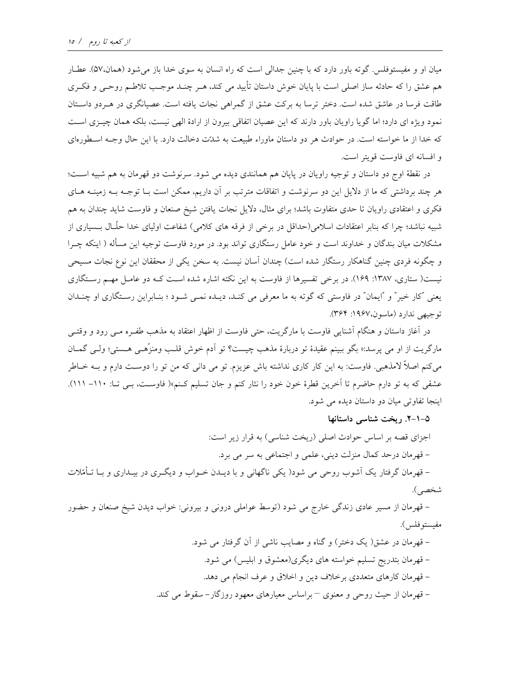میان او و مفیستوفلس. گوته باور دارد که با چنین جدالی است که راه انسان به سوی خدا باز می شود (همان،۵۷). عطـار هم عشق را که حادثه ساز اصلی است با پایان خوش داستان تأیید می کند، هـر چنـد موجـب تلاطـم روحـبی و فکـری طاقت فرسا در عاشق شده است. دختر ترسا به بركت عشق از گمراهی نجات یافته است. عصیانگری در هـردو داسـتان نمود ویژه ای دارد؛ اما گویا راویان باور دارند که این عصیان اتفاقی بیرون از ارادهٔ الهی نیست، بلکه همان چیـزی اسـت که خدا از ما خواسته است. در حوادث هر دو داستان ماوراء طبیعت به شدّت دخالت دارد. با این حال وجـه اسـطورهای و افسانه ای فاوست قویتر است.

در نقطهٔ اوج دو داستان و توجیه راویان در پایان هم همانندی دیده می شود. سرنوشت دو قهرمان به هم شبیه است؛ هر چند برداشتی که ما از دلایل این دو سرنوشت و اتفاقات مترتب بر آن داریم، ممکن است بـا توجـه بـه زمینــه هــای فکری و اعتقادی راویان تا حدی متفاوت باشد؛ برای مثال، دلایل نجات یافتن شیخ صنعان و فاوست شاید چندان به هم شبیه نباشد؛ چرا که بنابر اعتقادات اسلامی(حداقل در برخی از فرقه های کلامی) شفاعت اولیای خدا حلّــال بــسیاری از مشکلات میان بندگان و خداوند است و خود عامل رستگاری تواند بود. در مورد فاوست توجیه این مسأله ( اینکه چـرا و چگونه فردی چنین گناهکار رستگار شده است) چندان آسان نیست. به سخن یکی از محققان این نوع نجات مسیحی نیست( ستاری، ۱۳۸۷: ۱۶۹). در برخی تفسیرها از فاوست به این نکته اشاره شده است کـه دو عامـل مهـم رسـتگاری يعني "کار خير " و "ايمان" در فاوستي که گوته به ما معرفي مي کنـد، ديـده نمـي شـود ؛ بنـابراين رسـتگاري او چنـدان توجيهي ندارد (ماسون،١٩۶٧: ٣۶۴).

در آغاز داستان و هنگام آشنایی فاوست با مارگریت، حتی فاوست از اظهار اعتقاد به مذهب طفـره مـی رود و وقتـی مارگريت از او مي پرسد:« بگو ببينم عقيدۀ تو دربارۀ مذهب چيست؟ تو آدم خوش قلـب ومنزَّهـي هـستي؛ ولـي گمــان مي كنم اصلاً لامذهبي. فاوست: به اين كار كاري نداشته باش عزيزم. تو مي داني كه من تو را دوست دارم و بــه خــاطر عشقی که به تو دارم حاضرم تا آخرین قطرهٔ خون خود را نثار کنم و جان تسلیم کـنم»( فاوسـت، بـی تـا: ۱۱۰– ۱۱۱). اینجا تفاوتی میان دو داستان دیده می شود.

۰–۱–۲. ریخت شناسی داستانها

اجزای قصه بر اساس حوادث اصلی (ریخت شناسی) به قرار زیر است: - قهرمان درحد كمال منزلت ديني، علمي و اجتماعي به سر مي برد.

– قهرمان گرفتار یک آشوب روحی می شود( یکی ناگهانی و با دیــدن خــواب و دیگــری در بیــداری و بــا تــأمّلات شخصي).

– قهرمان از مسیر عادی زندگی خارج می شود (توسط عواملی درونی و بیرونی: خواب دیدن شیخ صنعان و حضور مفيستوفلس).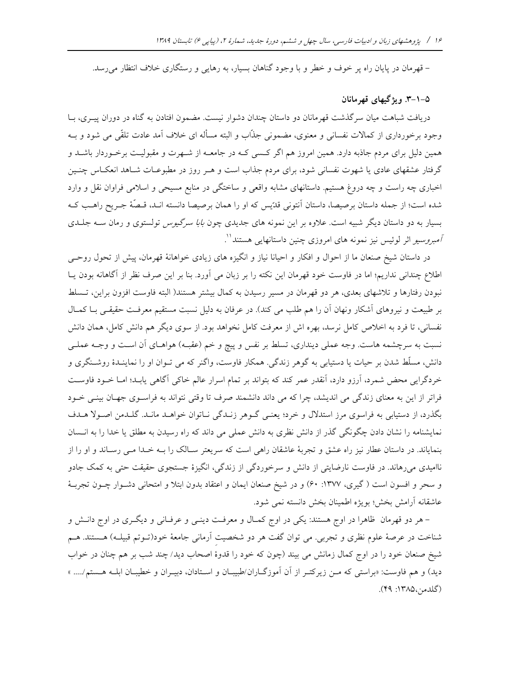– قهرمان در پایان راه پر خوف و خطر و با وجود گناهان بسیار، به رهایی و رستگاری خلاف انتظار می رسد.

## ۵–۱–۳. ویژگیهای قهرمانان

دریافت شباهت میان سرگذشت قهرمانان دو داستان چندان دشوار نیست. مضمون افتادن به گناه در دوران پیـری، بــا وجود برخورداری از کمالات نفسانی و معنوی، مضمونی جذّاب و البته مسأله ای خلاف آمد عادت تلقّی می شود و بــه همین دلیل برای مردم جاذبه دارد. همین امروز هم اگر کسمی کـه در جامعــه از شــهرت و مقبولیـت برخـوردار باشــد و گرفتار عشقهای عادی یا شهوت نفسانی شود، برای مردم جذاب است و هـر روز در مطبوعــات شــاهد انعکــاس چنــین اخباری چه راست و چه دروغ هستیم. داستانهای مشابه واقعی و ساختگی در منابع مسیحی و اسلامی فراوان نقل و وارد شده است؛ از جمله داستان برصیصا، داستان آنتونی قدّیس که او را همان برصیصا دانسته انـد، قـصّهٔ جـریح راهـب کـه بسیار به دو داستان دیگر شبیه است. علاوه بر این نمونه های جدیدی چون *بابا سرگیوس* تولستوی و رمان ســه جلــدی *آمبروسیو* اثر لوئیس نیز نمونه های امروزی چنین داستانهایی هستند<sup>۱</sup>'.

در داستان شیخ صنعان ما از احوال و افکار و احیانا نیاز و انگیزه های زیادی خواهانهٔ قهرمان، پیش از تحول روحیی اطلاع چندانی نداریم؛ اما در فاوست خود قهرمان این نکته را بر زبان می آورد. بنا بر این صرف نظر از آگاهانه بودن پـا نبودن رفتارها و تلاشهای بعدی، هر دو قهرمان در مسیر رسیدن به کمال بیشتر هستند( البته فاوست افزون براین، تـسلط بر طبیعت و نیروهای آشکار ونهان آن را هم طلب می کند). در عرفان به دلیل نسبت مستقیم معرفت حقیقی بـا کمـال نفسانی، تا فرد به اخلاص کامل نرسد، بهره اش از معرفت کامل نخواهد بود. از سوی دیگر هم دانش کامل، همان دانش نسبت به سرچشمه هاست. وجه عملی دینداری، تسلط بر نفس و پیچ و خم (عقبـه) هواهـای آن اسـت و وجـه عملـی دانش، مسلّط شدن بر حیات یا دستیابی به گوهر زندگی. همکار فاوست، واگنر که می تـوان او را نماینـدهٔ روشـنگری و خردگرایی محض شمرد، اَرزو دارد، اَنقدر عمر کند که بتواند بر تمام اسرار عالم خاکی اَگاهی یابـد؛ امـا خــود فاوسـت فراتر از این به معنای زندگی می اندیشد، چرا که می داند دانشمند صرف تا وقتی نتواند به فراسـوی جهـان بینـی خـود بگذرد، از دستیابی به فراسوی مرز استدلال و خرد؛ یعنـی گـوهر زنـدگی نـاتوان خواهـد مانـد. گلـدمن اصـولا هـدف نمایشنامه را نشان دادن چگونگی گذر از دانش نظری به دانش عملی می داند که راه رسیدن به مطلق یا خدا را به انــسان بنمایاند. در داستان عطار نیز راه عشق و تجربهٔ عاشقان راهی است که سریعتر سـالک را بـه خـدا مـی رسـاند و او را از ناامیدی میرهاند. در فاوست نارضایتی از دانش و سرخوردگی از زندگی، انگیزهٔ جستجوی حقیقت حتی به کمک جادو و سحر و افسون است ( گیری، ۱۳۷۷: ۶۰) و در شیخ صنعان ایمان و اعتقاد بدون ابتلا و امتحانی دشـوار چـون تجربـهٔ عاشقانه آرامش بخش؛ بويژه اطمينان بخش دانسته نمي شود.

– هر دو قهرمان ظاهرا در اوج هستند: یکی در اوج کمـال و معرفـت دینـی و عرفـانی و دیگـری در اوج دانـش و شناخت در عرصهٔ علوم نظری و تجربی. می توان گفت هر دو شخصیت آرمانی جامعهٔ خود(تـوتم قبیلـه) هـستند. هـم شیخ صنعان خود را در اوج کمال زمانش می بیند (چون که خود را قدوهٔ اصحاب دید/ چند شب بر هم چنان در خواب دید) و هم فاوست: «براستی که مـن زیرکتـر از آن آموزگـاران/طبیبـان و اسـتادان، دبیـران و خطیبـان ابلـه هـستم/.... » (گلدمن،۱۳۸۵: ۴۹).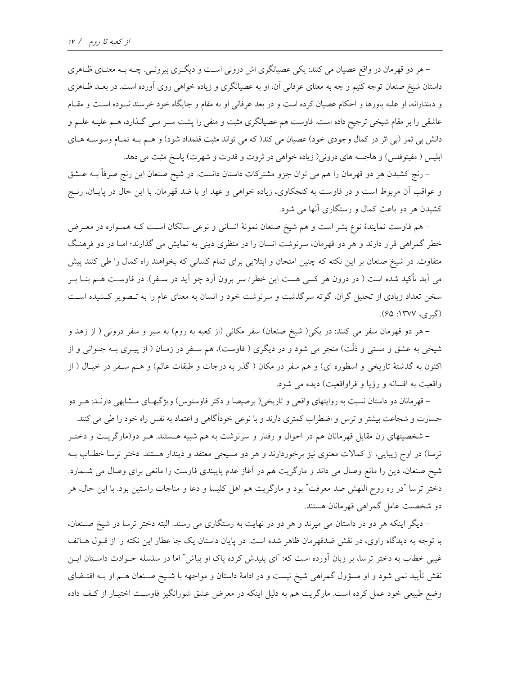– هر دو قهرمان در واقع عصیان می کنند: یکی عصیانگری اش درونی است و دیگـری بیرونـی. چــه بــه معنـای ظــاهری داستان شیخ صنعان توجه کنیم و چه به معنای عرفانی آن، او به عصیانگری و زیاده خواهی روی آورده است. در بعـد ظـاهری و دیندارانه، او علیه باورها و احکام عصیان کرده است و در بعد عرفانی او به مقام و جایگاه خود خرسند نسوده است و مقـام عاشقی را بر مقام شیخی ترجیح داده است. فاوست هم عصیانگری مثبت و منفی را پشت سـر مـبی گـذارد، هـم علیـه علـم و دانش بی ثمر (بی اثر در کمال وجودی خود) عصیان می کند( که می تواند مثبت قلمداد شود) و هـم بـه تمـام وسوسـه هـای ابلیس ( مفیتوفلس) و هاجسه های درونی( زیاده خواهی در ثروت و قدرت و شهرت) پاسخ مثبت می دهد.

– رنج کشیدن هر دو قهرمان را هم می توان جزو مشترکات داستان دانست. در شیخ صنعان این رنج صرفاً بــه عــشق و عواقب آن مربوط است و در فاوست به کنجکاوی، زیاده خواهی و عهد او با ضد قهرمان. با این حال در پایــان، رنــج کشیدن هر دو باعث کمال و رستگاری آنها می شود.

– هم فاوست نمایندهٔ نوع بشر است و هم شیخ صنعان نمونهٔ انسانی و نوعی سالکان است کـه همـواره در معـرض خطر گمراهی قرار دارند و هر دو قهرمان، سرنوشت انسان را در منظری دینی به نمایش می گذارند؛ امـا در دو فرهنگ متفاوت. در شیخ صنعان بر این نکته که چنین امتحان و ابتلایی برای تمام کسانی که بخواهند راه کمال را طی کنند پیش می آید تأکید شده است ( در درون هر کسی هست این خطر/ سر برون آرد چو آید در سـفر). در فاوسـت هـم بنــا بــر سخن تعداد زیادی از تحلیل گران، گوته سرگذشت و سرنوشت خود و انسان به معنای عام را به تـصویر کـشیده اسـت (گيري، ١٣٧٧: ۶۵).

– هر دو قهرمان سفر می کنند: در یکی( شیخ صنعان) سفر مکانی (از کعبه به روم) به سیر و سفر درونی ( از زهد و شیخی به عشق و مستی و ذلّت) منجر می شود و در دیگری ( فاوست)، هم سـفر در زمـان ( از پیــری بــه جــوانی و از اکنون به گذشتهٔ تاریخی و اسطوره ای) و هم سفر در مکان ( گذر به درجات و طبقات عالم) و هـم سـفر در خیـال ( از واقعیت به افسانه و رؤیا و فراواقعیت) دیده می شود.

– قهرمانان دو داستان نسبت به روایتهای واقعی و تاریخی( برصیصا و دکتر فاوستوس) ویژگیهـای مــشابهی دارنــد: هــر دو جسارت و شجاعت بیشتر و ترس و اضطراب کمتری دارند و با نوعی خودآگاهی و اعتماد به نفس راه خود را طی می کنند.

– شخصیتهای زن مقابل قهرمانان هم در احوال و رفتار و سرنوشت به هم شبیه هـستند. هـر دو(مارگریـت و دختـر ترسا) در اوج زیبایی، از کمالات معنوی نیز برخوردارند و هر دو مسیحی معتقد و دیندار هستند. دختر ترسا خطـاب بــه شیخ صنعان، دین را مانع وصال می داند و مارگریت هم در آغاز عدم پایبندی فاوست را مانعی برای وصال می شــمارد. دختر ترسا "در ره روح اللهش صد معرفت" بود و مارگریت هم اهل کلیسا و دعا و مناجات راستین بود. با این حال، هر دو شخصیت عامل گمراهی قهرمانان هستند.

– دیگر اینکه هر دو در داستان می میرند و هر دو در نهایت به رستگاری می رسند. البته دختر ترسا در شیخ صنعان، با توجه به دیدگاه راوی، در نقش ضدقهرمان ظاهر شده است. در پایان داستان یک جا عطار این نکته را از قــول هــاتف غیبی خطاب به دختر ترسا، بر زبان آورده است که: "ای پلیدش کرده پاک او بباش" اما در سلسله حــوادث داســتان ایــن نقش تأیید نمی شود و او مسؤول گمراهی شیخ نیست و در ادامهٔ داستان و مواجهه با شـیخ صـنعان هــم او بــه اقتــضای وضع طبیعی خود عمل کرده است. مارگریت هم به دلیل اینکه در معرض عشق شورانگیز فاوست اختیـار از کـف داده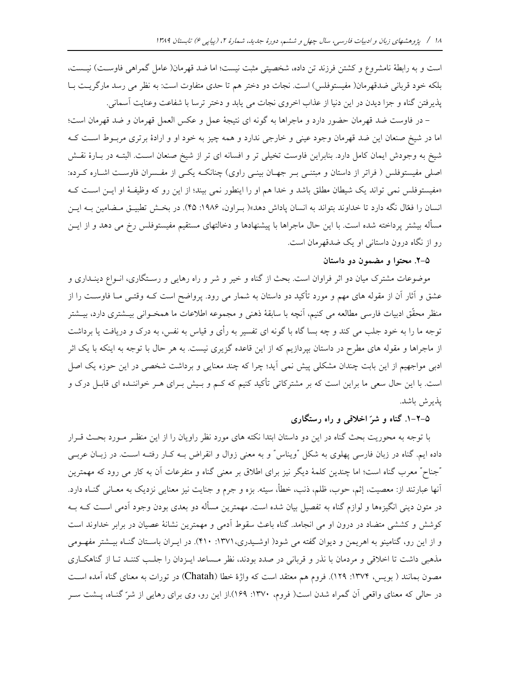است و به رابطهٔ نامشروع و کشتن فرزند تن داده، شخصیتی مثبت نیست؛ اما ضد قهرمان( عامل گمراهی فاوست) نیـست، بلكه خود قرباني ضدقهرمان( مفيستوفلس) است. نجات دو دختر هم تا حدى متفاوت است: به نظر مي رسد مارگريت بـا يذيرفتن گناه و جزا ديدن در اين دنيا از عذاب اخروي نجات مي پابد و دختر ترسا با شفاعت وعنايت آسماني.

– در فاوست ضد قهرمان حضور دارد و ماجراها به گونه اي نتيجهٔ عمل و عكس العمل قهرمان و ضد قهرمان است؛ اما در شیخ صنعان این ضد قهرمان وجود عینی و خارجی ندارد و همه چیز به خود او و ارادهٔ برتری مربـوط اسـت کـه شیخ به وجودش ایمان کامل دارد. بنابراین فاوست تخیلی تر و افسانه ای تر از شیخ صنعان است. البتـه در بـارهٔ نقـش اصلی مفیستوفلس ( فراتر از داستان و مبتنـی بـر جهـان بینـی راوی) چنانکــه یکــی از مفـسران فاوسـت اشـاره کــرده: «مفیستوفلس نمی تواند یک شیطان مطلق باشد و خدا هم او را اینطور نمی بیند؛ از این رو که وظیفهٔ او ایـن اسـت کـه انسان را فعّال نگه دارد تا خداوند بتواند به انسان یاداش دهد»( بـراون، ۱۹۸۶: ۴۵). در بخـش تطبیــق مــضامین بــه ایــن مسأله بیشتر پرداخته شده است. با این حال ماجراها با پیشنهادها و دخالتهای مستقیم مفیستوفلس رخ می دهد و از ایــن رو از نگاه درون داستانی او یک ضدقهرمان است.

## ۵-۲. محتوا و مضمون دو داستان

موضوعات مشترک میان دو اثر فراوان است. بحث از گناه و خیر و شر و راه رهایی و رسـتگاری، انــواع دینــداری و عشق و آثار آن از مقوله های مهم و مورد تأکید دو داستان به شمار می رود. پرواضح است کـه وقتـی مـا فاوســت را از منظر محقّق ادبیات فارسی مطالعه می کنیم، آنچه با سابقهٔ ذهنی و مجموعه اطلاعات ما همخـوانی بیــشتری دارد، بیــشتر توجه ما را به خود جلب می کند و چه بسا گاه با گونه ای تفسیر به رأی و قیاس به نفس، به درک و دریافت یا برداشت از ماجراها و مقوله های مطرح در داستان بیردازیم که از این قاعده گزیری نیست. به هر حال با توجه به اینکه با یک اثر ادبی مواجهیم از این بابت چندان مشکلی پیش نمی آید؛ چرا که چند معنایی و برداشت شخصی در این حوزه یک اصل است. با این حال سعی ما براین است که بر مشترکاتی تأکید کنیم که کـم و بـیش بـرای هـر خواننـده ای قابـل درک و يذير ش باشد.

## ۵–۲–۱. گناه و شرّ اخلاقی و راه رستگاری

با توجه به محوریت بحث گناه در این دو داستان ابتدا نکته های مورد نظر راویان را از این منظـر مـورد بحـث قـرار داده ایم. گناه در زبان فارسی پهلوی به شکل "ویناس" و به معنی زوال و انقراض بــه کــار رفتــه اســت. در زبــان عربــی "جناح" معرب گناه است؛ اما چندین کلمهٔ دیگر نیز برای اطلاق بر معنی گناه و متفرعات آن به کار می رود که مهمترین آنها عبارتند از: معصیت، إثم، حوب، ظلم، ذنب، خطأ، سیئه. بزه و جرم و جنایت نیز معنایی نزدیک به معـانی گنــاه دارد. در متون دینی انگیزهها و لوازم گناه به تفصیل بیان شده است. مهمترین مسأله دو بعدی بودن وجود آدمی اسـت کــه بــه کوشش و کششی متضاد در درون او می انجامد. گناه باعث سقوط آدمی و مهمترین نشانهٔ عصیان در برابر خداوند است و از این رو، گنامینو به اهریمن و دیوان گفته می شود( اوشـیدری، ۱۳۷۱: ۴۱۰). در ایـران باسـتان گنـاه بیـشتر مفهـومی مذهبی داشت تا اخلاقی و مردمان با نذر و قربانی در صدد بودند، نظر مـساعد ایـزدان را جلـب کننـد تـا از گناهکـاری مصون بمانند ( بویس، ۱۳۷۴: ۱۲۹). فروم هم معتقد است که واژهٔ خطا (Chatah) در تورات به معنای گناه آمده است در حالی که معنای واقعی آن گمراه شدن است( فروم، ۱۳۷۰: ۱۶۹).از این رو، وی برای رهایی از شرّ گنـاه، پــشت ســر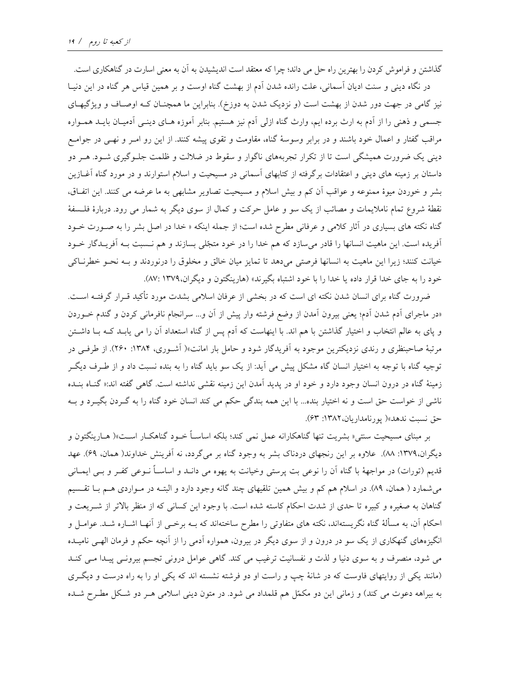گذاشتن و فراموش کردن را بهترین راه حل می داند؛ چرا که معتقد است اندیشیدن به آن به معنی اسارت در گناهکاری است. در نگاه دینی و سنت ادیان آسمانی، علت رانده شدن آدم از بهشت گناه اوست و بر همین قیاس هر گناه در این دنیـا نیز گامی در جهت دور شدن از بهشت است (و نزدیک شدن به دوزخ). بنابراین ما همچنان کـه اوصـاف و ویژگیهـای جسمی و ذهنی را از آدم به ارث برده ایم، وارث گناه ازلی آدم نیز هستیم. بنابر آموزه هـای دینـی آدمیـان بایـد همـواره مراقب گفتار و اعمال خود باشند و در برابر وسوسهٔ گناه، مقاومت و تقوی پیشه کنند. از این رو امــر و نهــی در جوامــع دینی یک ضرورت همیشگی است تا از تکرار تجربههای ناگوار و سقوط در ضلالت و ظلمت جلـوگیری شــود. هــر دو داستان بر زمینه های دینی و اعتقادات برگرفته از کتابهای آسمانی در مسیحیت و اسلام استوارند و در مورد گناه آغـازین بشر و خوردن میوهٔ ممنوعه و عواقب آن کم و بیش اسلام و مسیحیت تصاویر مشابهی به ما عرضه می کنند. این اتفاق، نقطهٔ شروع تمام ناملایمات و مصائب از یک سو و عامل حرکت و کمال از سوی دیگر به شمار می رود. دربارهٔ فلـسفهٔ گناه نکته های بسیاری در آثار کلامی و عرفانی مطرح شده است؛ از جمله اینکه « خدا در اصل بشر را به صـورت خــود أفريده است. اين ماهيت انسانها را قادر مي سازد كه هم خدا را در خود متجّلي بسازند و هم نـسبت بـه أفريـدگار خـود خیانت کنند؛ زیرا این ماهیت به انسانها فرصتی میدهد تا تمایز میان خالق و مخلوق را درنوردند و بـه نحـو خطرنــاکی خود را به جای خدا قرار داده یا خدا را با خود اشتباه بگیرند» (هارینگتون و دیگران،۱۳۷۹ :۸۷).

ضرورت گناه برای انسان شدن نکته ای است که در بخشی از عرفان اسلامی بشدت مورد تأکید قـرار گرفتــه اســت. «در ماجرای آدم شدن آدم؛ یعنی بیرون آمدن از وضع فرشته وار پیش از آن و... سرانجام نافرمانی کردن و گندم خـوردن و یای به عالم انتخاب و اختیار گذاشتن با هم اند. با اینهاست که آدم پس از گناه استعداد آن را می یابـد کــه بــا داشــتن مرتبهٔ صاحبنظری و رندی نزدیکترین موجود به آفریدگار شود و حامل بار امانت»( آشـوری، ۱۳۸۴: ۲۶۰). از طرفـی در توجیه گناه با توجه به اختیار انسان گاه مشکل پیش می آید: از یک سو باید گناه را به بنده نسبت داد و از طـرف دیگـر زمینهٔ گناه در درون انسان وجود دارد و خود او در یدید آمدن این زمینه نقشی نداشته است. گاهی گفته اند:« گنـاه بنـده ناشی از خواست حق است و نه اختیار بنده... با این همه بندگی حکم می کند انسان خود گناه را به گـردن بگیـرد و بــه حق نسبت ندهد»( يورنامداريان،١٣٨٢: ۶۳).

بر مبنای مسیحیت سنتی« بشریت تنها گناهکارانه عمل نمی کند؛ بلکه اساسـاً خــود گناهکــار اســت»( هــارینگتون و دیگران،۱۳۷۹: ۸۸). علاوه بر این رنجهای دردناک بشر به وجود گناه بر میگردد، نه آفرینش خداوند( همان، ۶۹). عهد قدیم (تورات) در مواجههٔ با گناه آن را نوعی بت پرستی وخیانت به یهوه می دانـد و اساســاً نــوعی کفــر و بــی ایمــانی می شمارد ( همان، ۸۹). در اسلام هم کم و بیش همین تلقیهای چند گانه وجود دارد و البتـه در مـواردی هـم بـا تقـسیم گناهان به صغیره و کبیره تا حدی از شدت احکام کاسته شده است. با وجود این کسانی که از منظر بالاتر از شـریعت و احکام آن، به مسألهٔ گناه نگریستهاند، نکته های متفاوتی را مطرح ساختهاند که بــه برخــی از آنهــا اشــاره شــد. عوامــل و انگیزههای گنهکاری از یک سو در درون و از سوی دیگر در بیرون، همواره آدمی را از آنچه حکم و فرمان الهـی نامیـده می شود، منصرف و به سوی دنیا و لذت و نفسانیت ترغیب می کند. گاهی عوامل درونی تجسم بیرونـی پیـدا مـی کنـد (مانند یکی از روایتهای فاوست که در شانهٔ چپ و راست او دو فرشته نشسته اند که یکی او را به راه درست و دیگری به بیراهه دعوت می کند) و زمانی این دو مکمّل هم قلمداد می شود. در متون دینی اسلامی هـر دو شـکل مطـرح شـده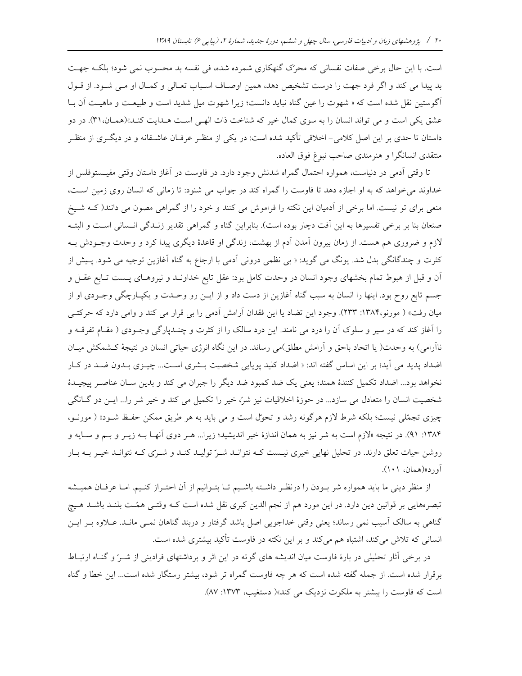است. با این حال برخی صفات نفسانی که محرّک گنهکاری شمرده شده، فی نفسه بد محسوب نمی شود؛ بلکـه جهـت بد پیدا می کند و اگر فرد جهت را درست تشخیص دهد، همین اوصـاف اسـباب تعـالی و کمـال او مـی شـود. از قـول اًگوستین نقل شده است که « شهوت را عین گناه نباید دانست؛ زیرا شهوت میل شدید است و طبیعت و ماهیـت آن بـا عشق یکی است و می تواند انسان را به سوی کمال خیر که شناخت ذات الهے است هـدایت کنـد»(همـان، ۳۱). در دو داستان تا حدی بر این اصل کلامی- اخلاقی تأکید شده است: در یکی از منظـر عرفـان عاشـقانه و در دیگـری از منظـر منتقدى انسانگرا و هنرمندى صاحب نبوغ فوق العاده.

تا وقتی اَدمی در دنیاست، همواره احتمال گمراه شدنش وجود دارد. در فاوست در اَغاز داستان وقتی مفیــستوفلس از خداوند می خواهد که به او اجازه دهد تا فاوست را گمراه کند در جواب می شنود: تا زمانی که انسان روی زمین است، منعی برای تو نیست. اما برخی از آدمیان این نکته را فراموش می کنند و خود را از گمراهی مصون می دانند( کـه شـیخ صنعان بنا بر برخی تفسیرها به این آفت دچار بوده است). بنابراین گناه و گمراهی تقدیر زنـدگی انـسانی اسـت و البتـه لازم و ضروری هم هست. از زمان بیرون آمدن آدم از بهشت، زندگی او قاعدهٔ دیگری پیدا کرد و وحدت وجـودش بـه کثرت و چندگانگی بدل شد. یونگ می گوید: « بی نظمی درونی اَدمی با ارجاع به گناه اَغازین توجیه می شود. پـیش از آن و قبل از هبوط تمام بخشهای وجود انسان در وحدت کامل بود: عقل تابع خداونـد و نیروهـای پــست تــابع عقــل و جسم تابع روح بود. اینها را انسان به سبب گناه آغازین از دست داد و از ایــن رو وحـدت و یکپـارچگی وجـودی او از میان رفت» ( مورنو،۱۳۸۴: ۱۳۳۳). وجود این تضاد یا این فقدان آرامش آدمی را بی قرار می کند و وامی دارد که حرکتـی را آغاز کند که در سیر و سلوک آن را درد می نامند. این درد سالک را از کثرت و چندپارگی وجـودی ( مقـام تفرقــه و ناآرامی) به وحدت( یا اتحاد باحق و آرامش مطلق)می رساند. در این نگاه انرژی حیاتی انسان در نتیجهٔ کـشمکش میـان اضداد پدید می آید؛ بر این اساس گفته اند: « اضداد کلید پویایی شخصیت بـشری اسـت... چیـزی بـدون ضـد در کـار نخواهد بود... اضداد تكميل كنندهٔ همند؛ يعني يک ضد کمبود ضد ديگر را جبران مي کند و بدين سـان عناصـر ييچيــدهٔ شخصیت انسان را متعادل می سازد... در حوزهٔ اخلاقیات نیز شرّ، خیر را تکمیل می کند و خیر شر را... ایــن دو گــانگی چیزی تجمّلی نیست؛ بلکه شرط لازم هرگونه رشد و تحوّل است و می باید به هر طریق ممکن حفظ شـود» ( مورنـو، ۱۳۸۴: ۹۱). در نتیجه «لازم است به شر نیز به همان اندازهٔ خیر اندیشید؛ زیرا… هـر دوی آنهـا بــه زیــر و بــم و ســایه و روشن حیات تعلق دارند. در تحلیل نهایی خیری نیست کـه نتوانـد شـرّ تولیـد کنـد و شـرّی کـه نتوانـد خیـر بـه بـار آورد»(همان، ۱۰۱).

از منظر دینی ما باید همواره شر بــودن را درنظــر داشــته باشــیم تــا بتــوانیم از أن احتــراز کنــیم. امــا عرفــان همیــشه تبصرههایی بر قوانین دین دارد. در این مورد هم از نجم الدین کبری نقل شده است کـه وقتـی همّـت بلنـد باشـد هـیچ گناهی به سالک آسیب نمی رساند؛ یعنی وقتی خداجویی اصل باشد گرفتار و دربند گناهان نمـی مانـد. عــلاوه بـر ایــن انسانی که تلاش میکند، اشتباه هم میکند و بر این نکته در فاوست تأکید بیشتری شده است.

در برخی آثار تحلیلی در بارهٔ فاوست میان اندیشه های گوته در این اثر و برداشتهای فرادینی از شـرّ و گنـاه ارتبـاط برقرار شده است. از جمله گفته شده است که هر چه فاوست گمراه تر شود، بیشتر رستگار شده است... این خطا و گناه است که فاوست را بیشتر به ملکوت نزدیک می کند»( دستغیب، ۱۳۷۳: ۸۷).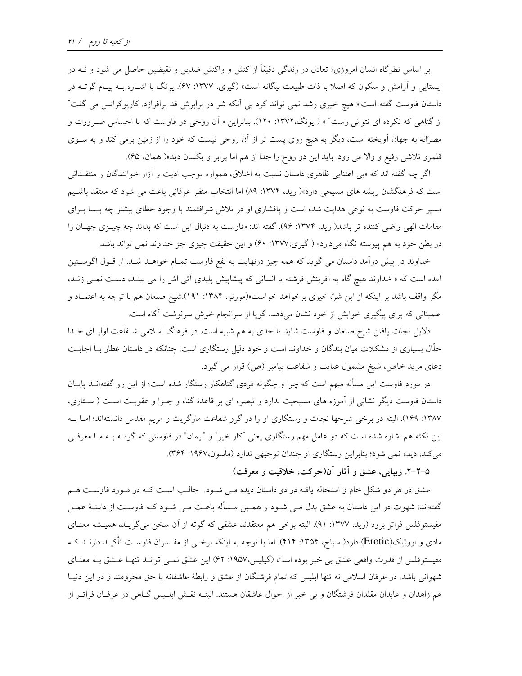بر اساس نظرگاه انسان امروزی« تعادل در زندگی دقیقاً از کنش و واکنش ضدین و نقیضین حاصل می شود و نــه در ایستایی و آرامش و سکون که اصلا با ذات طبیعت بیگانه است» (گیری، ۱۳۷۷: ۶۷). یونگ با اشـاره بــه پیــام گوتــه در داستان فاوست گفته است:« هیچ خیری رشد نمی تواند کرد بی آنکه شر در برابرش قد برافرازد. کارپوکراتس می گفت" از گناهی که نکرده ای نتوانی رست" » ( یونگ،۱۳۷۲: ۱۲۰). بنابراین « اَن روحی در فاوست که با احساس ضـرورت و مصرانه به جهان آویخته است، دیگر به هیچ روی پست تر از آن روحی نیست که خود را از زمین برمی کند و به سـوی قلمرو تلاشی رفیع و والا می رود. باید این دو روح را جدا از هم اما برابر و یکسان دید»( همان، ۶۵).

اگر چه گفته اند که «بی اعتنایی ظاهری داستان نسبت به اخلاق، همواره موجب اذیت و آزار خوانندگان و منتقـدانی است که فرهنگشان ریشه های مسیحی دارد»( رید، ۱۳۷۴: ۸۹) اما انتخاب منظر عرفانی باعث می شود که معتقد باشیم مسیر حرکت فاوست به نوعی هدایت شده است و پافشاری او در تلاش شرافتمند با وجود خطای بیشتر چه بــــا بــرای مقامات الهی راضی کننده تر باشد( رید، ۱۳۷۴: ۹۶). گفته اند: «فاوست به دنبال این است که بداند چه چیـزی جهـان را در بطن خود به هم پیوسته نگاه میدارد» (گیری،۱۳۷۷: ۶۰) و این حقیقت چیزی جز خداوند نمی تواند باشد.

خداوند در پیش درآمد داستان می گوید که همه چیز درنهایت به نفع فاوست تمـام خواهـد شـد. از قـول اگوسـتین اًمده است که « خداوند هیچ گاه به اَفرینش فرشته یا انسانی که پیشاپیش پلیدی اَتی اش را می بینـد، دسـت نمــی زنـد، مگر واقف باشد بر اینکه از این شرّ، خیری برخواهد خواست»(مورنو، ۱۳۸۴: ۱۹۱).شیخ صنعان هم با توجه به اعتمـاد و اطمینانی که برای پیگیری خوابش از خود نشان میدهد، گویا از سرانجام خوش سرنوشت آگاه است.

دلایل نجات یافتن شیخ صنعان و فاوست شاید تا حدی به هم شبیه است. در فرهنگ اسلامی شـفاعت اولیـای خـدا حلّال بسیاری از مشکلات میان بندگان و خداوند است و خود دلیل رستگاری است. چنانکه در داستان عطار بــا اجابــت دعای مرید خاص، شیخ مشمول عنایت و شفاعت پیامبر (ص) قرار می گیرد.

در مورد فاوست این مسأله مبهم است که چرا و چگونه فردی گناهکار رستگار شده است؛ از این رو گفتهانــد پایــان داستان فاوست دیگر نشانی از آموزه های مسیحیت ندارد و تبصره ای بر قاعدهٔ گناه و جـزا و عقوبـت اسـت ( سـتاری، ۱۳۸۷: ۱۶۹). البته در برخی شرحها نجات و رستگاری او را در گرو شفاعت مارگریت و مریم مقدس دانستهاند؛ امـا بـه این نکته هم اشاره شده است که دو عامل مهم رستگاری یعنی "کار خیر" و "ایمان" در فاوستی که گوتـه بــه مــا معرفــی می کند، دیده نمی شود؛ بنابراین رستگاری او چندان توجیهی ندارد (ماسون،۱۹۶۷: ۳۶۴).

۵–۲–۲. زیبایی، عشق و آثار آن(حرکت، خلاقیت و معرفت)

عشق در هر دو شکل خام و استحاله یافته در دو داستان دیده مـی شـود. جالـب اسـت کـه در مـورد فاوسـت هـم گفتهاند؛ شهوت در این داستان به عشق بدل مــی شــود و همــین مــسأله باعــث مــی شــود کــه فاوســت از دامنــهٔ عمــل مفیستوفلس فراتر برود (رید، ۱۳۷۷: ۹۱). البته برخی هم معتقدند عشقی که گوته از آن سخن میگویـد، همیـشه معنـای مادی و اروتیک(Erotic) دارد( سیاح، ۱۳۵۴: ۴۱۴). اما با توجه به اینکه برخــی از مفــسران فاوســت تأکیــد دارنــد کــه مفیستوفلس از قدرت واقعی عشق بی خبر بوده است (گیلیس،۱۹۵۷: ۶۲) این عشق نمـی توانـد تنهـا عـشق بـه معنـای شهوانی باشد. در عرفان اسلامی نه تنها ابلیس که تمام فرشتگان از عشق و رابطهٔ عاشقانه با حق محرومند و در این دنیـا هم زاهدان و عابدان مقلدان فرشتگان و بی خبر از احوال عاشقان هستند. البتـه نقـش ابلـیس گـاهی در عرفـان فراتـر از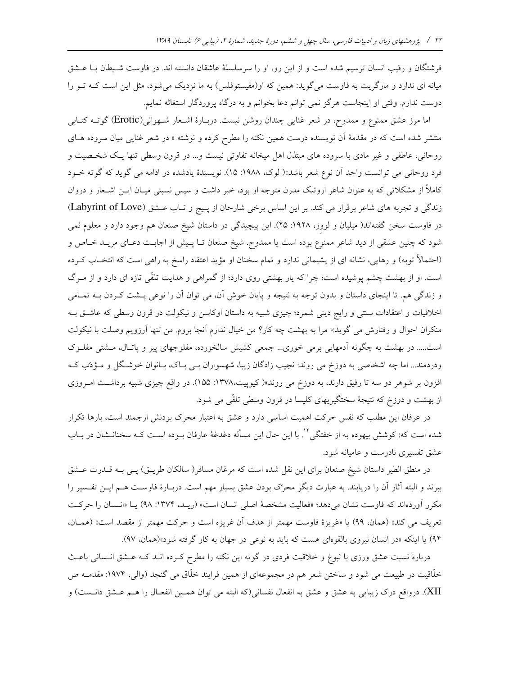فرشتگان و رقیب انسان ترسیم شده است و از این رو، او را سرسلسلهٔ عاشقان دانسته اند. در فاوست شـیطان بـا عـشق میانه ای ندارد و مارگریت به فاوست می گوید: همین که او(مفیستوفلس) به ما نزدیک می شود، مثل این است کـه تــو را دوست ندارم. وقتي او اينجاست هرگز نمي توانم دعا بخوانم و به درگاه پروردگار استغاثه نمايم.

اما مرز عشق ممنوع و ممدوح، در شعر غنایی چندان روشن نیست. دربـارهٔ اشـعار شـهوانی(Erotic) گوتــه کتــابی منتشر شده است که در مقدمهٔ آن نویسنده درست همین نکته را مطرح کرده و نوشته « در شعر غنای<sub>م</sub> میان سروده هـای روحانی، عاطفی و غیر مادی با سروده های مبتذل اهل میخانه تفاوتی نیست و... در قرون وسطی تنها یک شخصیت و فرد روحاني مي توانست واجد أن نوع شعر باشد»( لوك، ١٩٨٨: ١٥). نويسندهٔ يادشده در ادامه مي گويد كه گوته خـود کاملاً از مشکلاتی که به عنوان شاعر اروتیک مدرن متوجه او بود، خبر داشت و سپس نسبتی میـان ایــن اشــعار و دروان زندگی و تجربه های شاعر برقرار می کند. بر این اساس برخی شارحان از پیج و تـاب عـشق (Labyrint of Love) در فاوست سخن گفتهاند( میلیان و لووز، ۱۹۲۸: ۲۵). این پیچیدگی در داستان شیخ صنعان هم وجود دارد و معلوم نمی شود که چنین عشقی از دید شاعر ممنوع بوده است یا ممدوح. شیخ صنعان تـا پـیش از اجابـت دعـای مریـد خـاص و (احتمالاً توبه) و رهایی، نشانه ای از پشیمانی ندارد و تمام سخنان او مؤید اعتقاد راسخ به راهی است که انتخـاب کـرده است. او از بهشت چشم پوشیده است؛ چرا که پار بهشتی روی دارد؛ از گمراهی و هدایت تلقّی تازه ای دارد و از مـرگ و زندگی هم. تا اینجای داستان و بدون توجه به نتیجه و پایان خوش آن، می توان آن را نوعی پـشت کـردن بــه تمـامی اخلاقیات و اعتقادات سنتی و رایج دینی شمرد؛ چیزی شبیه به داستان اوکاسن و نیکولت در قرون وسطی که عاشـق بـه منكران احوال و رفتارش مي گويد:« مرا به بهشت چه كار؟ من خيال ندارم آنجا بروم. من تنها آرزويم وصلت با نيكولت است..... در بهشت به چگونه آدمهایی برمی خوری... جمعی کشیش سالخورده، مفلوجهای پیر و پاتال، مسشتی مفلـوک ودردمند... اما چه اشخاصی به دوزخ می روند: نجیب زادگان زیبا، شهسواران بــی بــاک، بــانوان خوشــگل و مــؤدّب کــه افزون بر شوهر دو سه تا رفیق دارند، به دوزخ می روند»( کیوپیت،۱۳۷۸: ۱۵۵). در واقع چیزی شبیه برداشت امروزی از بهشت و دوزخ که نتیجهٔ سختگیریهای کلیسا در قرون وسطی تلقّی می شود.

در عرفان این مطلب که نفس حرکت اهمیت اساسی دارد و عشق به اعتبار محرک بودنش ارجمند است، بارها تکرار شده است که: کوشش بیهوده به از خفتگی ْ'. با این حال این مسأله دغدغهٔ عارفان بــوده اســت کــه سخنانــشان در بــاب عشق تفسیری نادرست و عامیانه شود.

در منطق الطیر داستان شیخ صنعان برای این نقل شده است که مرغان مسافر( سالکان طریـق) پـی بـه قــدرت عــشق ببرند و البته آثار آن را دریابند. به عبارت دیگر محرّک بودن عشق بسیار مهم است. دربـارهٔ فاوسـت هــم ایــن تفـسیر را مکرر آوردهاند که فاوست نشان میدهد؛ «فعالیت مشخصهٔ اصلی انسان است» (ریـد، ۱۳۷۴: ۹۸) یـا «انـسان را حرکـت تعريف مي كند» (همان، ٩٩) يا «غريزهٔ فاوست مهمتر از هدف آن غريزه است و حركت مهمتر از مقصد است» (همـان، ۹۴) یا اینکه «در انسان نیروی بالقومای هست که باید به نوعی در جهان به کار گرفته شود»(همان، ۹۷).

دربارهٔ نسبت عشق ورزی با نبوغ و خلاقیت فردی در گوته این نکته را مطرح کـرده انــد کــه عــشق انــسانی باعــث خلّاقیت در طبیعت می شود و ساختن شعر هم در مجموعهای از همین فرایند خلّاق می گنجد (والی، ۱۹۷۴: مقدمــه ص XII). درواقع درک زیبایی به عشق و عشق به انفعال نفسانی(که البته می توان همـین انفعـال را هــم عــشق دانــست) و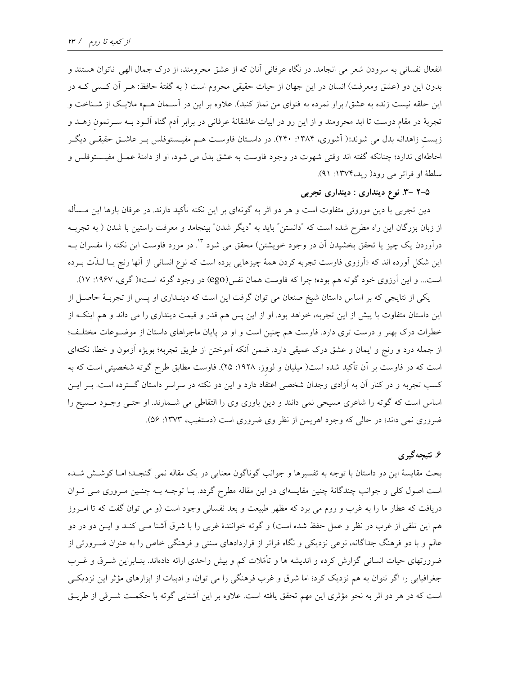انفعال نفسانی به سرودن شعر می انجامد. در نگاه عرفانی آنان که از عشق محرومند، از درک جمال الهی ناتوان هستند و بدون این دو (عشق ومعرفت) انسان در این جهان از حیات حقیقی محروم است ( به گفتهٔ حافظ: هـر آن کـسی کـه در این حلقه نیست زنده به عشق/براو نمرده به فتوای من نماز کنید). علاوه بر این در آسـمان هـم« ملایـک از شـناخت و تجربهٔ در مقام دوست تا ابد محرومند و از این رو در ابیات عاشقانهٔ عرفانی در برابر آدم گناه آلــود بــه ســرنمون زهــد و زیست زاهدانه بدل می شوند»( آشوری، ۱۳۸۴: ۱۳۸۰). در داسـتان فاوسـت هـم مفیـستوفلس بـر عاشـق حقیقـی دیگـر احاطهای ندارد؛ چنانکه گفته اند وقتی شهوت در وجود فاوست به عشق بدل می شود، او از دامنهٔ عمـل مفیـستوفلس و سلطة او فراتر مي رود( ريد، ١٣٧۴: ٩١).

## ۲–۲ –۳. نوع دینداری : دینداری تجربی

دین تجربی با دین موروثی متفاوت است و هر دو اثر به گونهای بر این نکته تأکید دارند. در عرفان بارها این مــسأله از زبان بزرگان این راه مطرح شده است که "دانستن" باید به "دیگر شدن" بینجامد و معرفت راستین با شدن ( به تجربـه درآوردن یک چیز یا تحقق بخشیدن آن در وجود خویشتن) محقق می شود <sup>۱۳</sup>. در مورد فاوست این نکته را مفسران بــه این شکل آورده اند که «آرزوی فاوست تجربه کردن همهٔ چیزهایی بوده است که نوع انسانی از آنها رنج یــا لــذّت بــرده است... و این آرزوی خود گوته هم بوده؛ چرا که فاوست همان نفس(ego) در وجود گوته است»( گری، ۱۹۶۷: ۱۷).

یکی از نتایجی که بر اساس داستان شیخ صنعان می توان گرفت این است که دینـداری او پـس از تجربـهٔ حاصـل از این داستان متفاوت با پیش از این تجربه، خواهد بود. او از این پس هم قدر و قیمت دینداری را می داند و هم اینک از خطرات درک بهتر و درست تری دارد. فاوست هم چنین است و او در پایان ماجراهای داستان از موضـوعات مختلـف؛ از جمله درد و رنج و ايمان و عشق درک عميقي دارد. ضمن آنکه آموختن از طريق تجربه؛ بويژه آزمون و خطا، نکتهاي است که در فاوست بر آن تأکید شده است( میلیان و لووز، ۱۹۲۸: ۲۵). فاوست مطابق طرح گوته شخصیتی است که به کسب تجربه و در کنار آن به آزادی وجدان شخصی اعتقاد دارد و این دو نکته در سراسر داستان گسترده است. بـر ایــن اساس است که گوته را شاعری مسیحی نمی دانند و دین باوری وی را التقاطی می شـمارند. او حتـی وجـود مـسیح را ضروري نمي داند؛ در حالي كه وجود اهريمن از نظر وي ضروري است (دستغيب، ١٣٧٣: ٥۶).

## ۶. نتیجه گیری

بحث مقایسهٔ این دو داستان با توجه به تفسیرها و جوانب گوناگون معنایی در یک مقاله نمی گنجـد؛ امـا کوشـش شـده است اصول کلی و جوانب چندگانهٔ چنین مقایسهای در این مقاله مطرح گردد. بـا توجـه بـه چنـین مـروری مـی تـوان دریافت که عطار ما را به غرب و روم می برد که مظهر طبیعت و بعد نفسانی وجود است (و می توان گفت که تا امـروز هم این تلقی از غرب در نظر و عمل حفظ شده است) و گوته خوانندهٔ غربی را با شرق آشنا مــی کنــد و ایــن دو در دو عالم و با دو فرهنگ جداگانه، نوعی نزدیکی و نگاه فراتر از قراردادهای سنتی و فرهنگی خاص را به عنوان ضـرورتی از ضرورتهای حیات انسانی گزارش کرده و اندیشه ها و تأمّلات کم و بیش واحدی ارائه دادهاند. بنـابراین شـرق و غـرب جغرافیایی را اگر نتوان به هم نزدیک کرد؛ اما شرق و غرب فرهنگی را می توان، و ادبیات از ابزارهای مؤثر این نزدیکی است که در هر دو اثر به نحو مؤثری این مهم تحقق یافته است. علاوه بر این آشنایی گوته با حکمت شـرقی از طریـق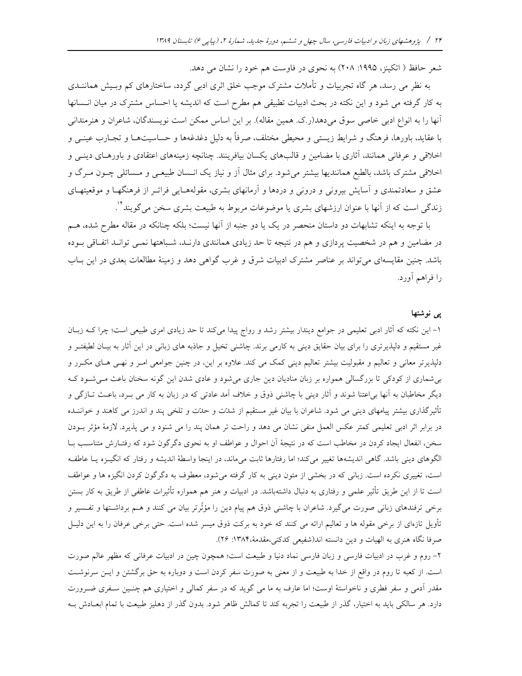شعر حافظ ( اتکینز، ۱۹۹۵: ۲۰۸) به نحوی در فاوست هم خود را نشان می دهد.

به نظر می رسد، هر گاه تجربیات و تأملات مشترک موجب خلق اثری ادبی گردد، ساختارهای کم وبسیش هماننــدی به کار گرفته می شود و این نکته در بحث ادبیات تطبیقی هم مطرح است که اندیشه یا احساس مشترک در میان انـسانها آنها را به انواع ادبی خاصی سوق میدهد(ر.ک. همین مقاله). بر این اساس ممکن است نویسندگان، شاعران و هنرمندانی با عقاید، باورها، فرهنگ و شرایط زیستی و محیطی مختلف، صرفاً به دلیل دغدغهها و حساسیتهـا و تجـارب عینــی و اخلاقی و عرفانی همانند، آثاری با مضامین و قالبهای یکسان بیافرینند. چنانچه زمینههای اعتقادی و باورهـای دینـی و اخلاقی مشترک باشد، بالطبع همانندیها بیشتر میشود. برای مثال اَز و نیاز یک انـسان طبیعـی و مـسائلی چــون مــرگ و عشق و سعادتمندی و آسایش بیرونی و درونی و دردها و آرمانهای بشری، مقولههـایی فراتـر از فرهنگهـا و موقعیتهـای زندگی است که از آنها با عنوان ارزشهای بشری یا موضوعات مربوط به طبیعت بشری سخن می گویند\*'.

با توجه به اینکه تشابهات دو داستان منحصر در یک یا دو جنبه از آنها نیست؛ بلکه چنانکه در مقاله مطرح شده، هــم در مضامین و هم در شخصیت پردازی و هم در نتیجه تا حد زیادی همانندی دارنـد، شـباهتها نمـی توانـد اتفـاقی بـوده باشد. چنین مقایسهای می تواند بر عناصر مشترک ادبیات شرق و غرب گواهی دهد و زمینهٔ مطالعات بعدی در این بـاب را فراهم آورد.

## یبی نوشتها

۱– این نکته که آثار ادبی تعلیمی در جوامع دیندار بیشتر رشد و رواج پیدا میکند تا حد زیادی امری طبیعی است؛ چرا ک زبـان غیر مستقیم و دلپذیرتری را برای بیان حقایق دینی به کارمی برند. چاشنی تخیل و جاذبه های زبانی در این آثار به بیـان لطیفتـر و دلپذیرتر معانی و تعالیم و مقبولیت بیشتر تعالیم دینی کمک می کند. علاوه بر این، در چنین جوامعی امـر و نهـی هـای مکـرر و بی شماری از کودکی تا بزرگسالی همواره بر زبان منادیان دین جاری می شود و عادی شدن این گونه سخنان باعث می شود ک دیگر مخاطبان به آنها بر اعتنا شوند و آثار دینی با چاشنی ذوق و خلاف آمد عادتی که در زبان به کار می بـرد، باعـث تــازگی و تأثیرگذاری بیشتر پیامهای دینی می شود. شاعران با بیان غیر مستقیم از شدتت و حدّت و تلخی پند و اندرز می کاهند و خواننـده در برابر اثر ادبی تعلیمی کمتر عکس العمل منفی نشان می دهد و راحت تر همان پند را می شنود و می پذیرد. لازمهٔ مؤثر بـودن سخن، انفعال ایجاد کردن در مخاطب است که در نتیجهٔ اَن احوال و عواطف او به نحوی دگرگون شود که رفتـارش متناسـب بـا الگوهای دینی باشد. گاهی اندیشهها تغییر میکند؛ اما رفتارها ثابت میماند، در اینجا واسطهٔ اندیشه و رفتار که انگیـزه یـا عاطفـه است، تغییری نکرده است. زبانی که در بخشی از متون دینی به کار گرفته می شود، معطوف به دگرگون کردن انگیزه ها و عواطف است تا از این طریق تأثیر علمی و رفتاری به دنبال داشتهباشد. در ادبیات و هنر هم همواره تأثیرات عاطفی از طریق به کار بستن برخی ترفندهای زبانی صورت میگیرد. شاعران با چاشنی ذوق هم پیام دین را مؤثّرتر بیان می کنند و هــم برداشـتها و تفـسیر و تأویل تازهای از برخی مقوله ها و تعالیم ارائه می کنند که خود به برکت ذوق میسر شده است. حتی برخی عرفان را به این دلیـل صرفا نگاه هنری به الهیات و دین دانسته اند(شفیعی کدکنی،مقدمهٔ،۱۳۸۴: ۲۶).

۲- روم و غرب در ادبیات فارسی و زبان فارسی نماد دنیا و طبیعت است؛ همچون چین در ادبیات عرفانی که مظهر عالم صورت است. از کعبه تا روم در واقع از خدا به طبیعت و از معنی به صورت سفر کردن است و دوباره به حق برگشتن و ایــن سرنوشــت مقدر آدمی و سفر فطری و ناخواستهٔ اوست؛ اما عارف به ما می گوید که در سفر کمالی و اختیاری هم چنـین سـفری ضـرورت دارد. هر سالکی باید به اختیار، گذر از طبیعت را تجربه کند تا کمالش ظاهر شود. بدون گذر از دهلیز طبیعت با تمام ابعــادش بــه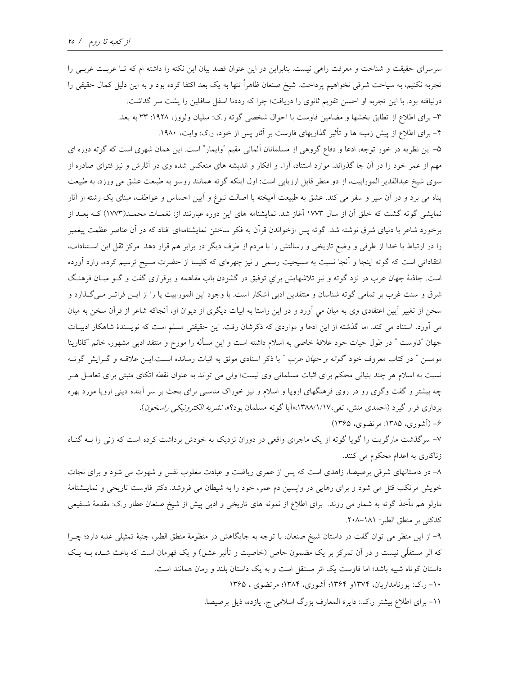سرسرای حقیقت و شناخت و معرفت راهی نیست. بنابراین در این عنوان قصد بیان این نکته را داشته ام که تـا غربـت غربـی را تجربه نکنیم، به سیاحت شرقی نخواهیم پرداخت. شیخ صنعان ظاهراً تنها به یک بعد اکتفا کرده بود و به این دلیل کمال حقیقی را درنیافته بود. با این تجربه او احسن تقویم ثانوی را دریافت؛ چرا که رددنا اسفل سافلین را پشت سر گذاشت. ٣- برای اطلاع از تطابق بخشها و مضامین فاوست با احوال شخصی گوته ر.ک: میلیان ولووز، ١٩٢٨: ٣٣ به بعد. ۴– برای اطلاع از پیش زمینه ها و تأثیر گذاریهای فاوست بر آثار پس از خود، ر.ک: وایت، ۱۹۸۰. ۵– این نظریه در خور توجه، ادعا و دفاع گروهی از مسلمانان آلمانی مقیم "وایمار" است. این همان شهری است که گوته دوره ای مهم از عمر خود را در آن جا گذراند. موارد استناد، آراء و افکار و اندیشه های منعکس شده وی در آثارش و نیز فتوای صادره از سوی شیخ عبدالقدیر المورابیت، از دو منظر قابل ارزیابی است: اول اینکه گوته همانند روسو به طبیعت عشق می ورزد، به طبیعت پناه می برد و در آن سیر و سفر می کند. عشق به طبیعت آمیخته با اصالت نبوغ و آیین احساس و عواطف، مبنای یک رشته از آثار نمایشی گوته گشت که خلق اَن از سال ۱۷۷۳ اَغاز شد. نمایشنامه های این دوره عبارتند از: نغمـات محمـد(۱۷۷۳) کــه بعــد از برخورد شاعر با دنیای شرق نوشته شد. گوته پس ازخواندن قرآن به فکر ساختن نمایشنامهای افتاد که در آن عناصر عظمت پیغمبر را در ارتباط با خدا از طرفی و وضع تاریخی و رسالتش را با مردم از طرف دیگر در برابر هم قرار دهد. مرکز ثقل این اسـتنادات، انتقاداتی است که گوته اینجا و آنجا نسبت به مسیحیت رسمی و نیز چهرهای که کلیسا از حضرت مسیح ترسیم کرده، وارد آورده است. جاذبهٔ جهان عرب در نزد گوته و نیز تلاشهایش برای توفیق در گشودن باب مفاهمه و برقراری گفت و گـو میـان فرهنـگ شرق و سنت غرب بر تمامی گوته شناسان و منتقدین ادبی آشکار است. با وجود این المورابیت پا را از ایـن فراتـر مـیگـذارد و سخن از تغییر آیین اعتقادی وی به میان می آورد و در این راستا به ابیات دیگری از دیوان او، آنجاکه شاعر از قرآن سخن به میان می آورد، استناد می کند. اما گذشته از این ادعا و مواردی که ذکرشان رفت، این حقیقتی مسلم است که نویسندهٔ شاهکار ادبیـات جهان "فاوست " در طول حیات خود علاقهٔ خاصی به اسلام داشته است و این مسأله را مورخ و منتقد ادبی مشهور، خانم "کانارینا مومسن ″ در کتاب معروف خود *گوته و جهان عرب* ″ با ذکر اسنادی موثق به اثبات رسانده اسـت.ایــن علاقــه و گــرایش گوتــه نسبت به اسلام هر چند بنیانی محکم برای اثبات مسلمانی وی نیست؛ ولی می تواند به عنوان نقطه اتکای مثبتی برای تعامـل هـر چه بیشتر و گفت وگوی رو در روی فرهنگهای اروپا و اسلام و نیز خوراک مناسبی برای بحث بر سر آینده دینی اروپا مورد بهره برداري قرار گيرد (احمدي منش، تقي،١٣٨٨/١/١٧هاآيا گوته مسلمان بود؟»، *نشريه الكترونيكي راسخون*).

۶- (آشوري، ۱۳۸۵: مرتضوي، ۱۳۶۵)

۷– سرگذشت مارگریت را گویا گوته از یک ماجرای واقعی در دوران نزدیک به خودش برداشت کرده است که زنی را بـه گنـاه زناکاری به اعدام محکوم می کنند.

۸– در داستانهای شرقی برصیصا، زاهدی است که پس از عمری ریاضت و عبادت مغلوب نفس و شهوت می شود و برای نجات خویش مرتکب قتل می شود و برای رهایی در واپسین دم عمر، خود را به شیطان می فروشد. دکتر فاوست تاریخی و نمایـشنامهٔ مارلو هم مأخذ گوته به شمار می روند. برای اطلاع از نمونه های تاریخی و ادبی پیش از شیخ صنعان عطار ر.ک: مقدمهٔ شـفیعی كدكنى بر منطق الطير: ١٨١–٢٠٨.

۹– از این منظر می توان گفت در داستان شیخ صنعان، با توجه به جایگاهش در منظومهٔ منطق الطیر، جنبهٔ تمثیلی غلبه دارد؛ چـرا که اثر مستقلّی نیست و در آن تمرکز بر یک مضمون خاص (خاصیت و تأثیر عشق) و یک قهرمان است که باعث شــده بــه یــک داستان کوتاه شبیه باشد؛ اما فاوست یک اثر مستقل است و به یک داستان بلند و رمان همانند است.

۱۰– ر.ک: پورنامداریان، ۱۳۷۴و ۱۳۶۴؛ آشوری، ۱۳۸۴؛ مرتضوی ، ۱۳۶۵

١١- براي اطلاع بيشتر ر.ک.: دايرة المعارف بزرگ اسلامي ج. يازده، ذيل برصيصا.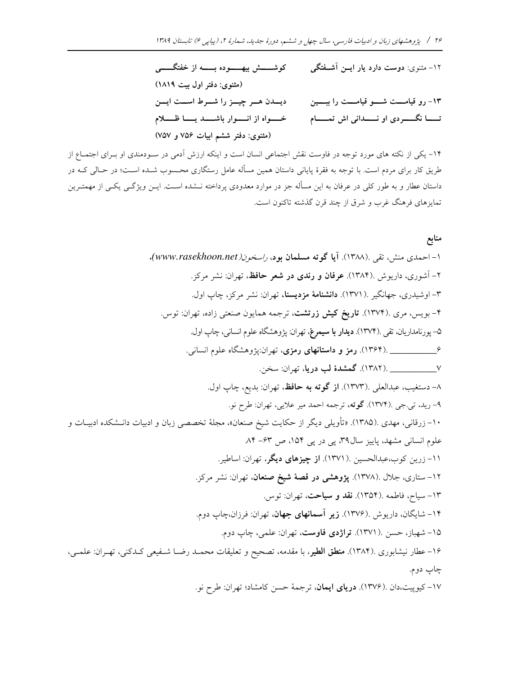۱۲- مثنوی: دوست دارد یار ایــن اَشــفتگی کوشـــــش بیهـــــوده بـــــه از خفتگـــــی (مثنوي: دفتر اول بيت ١٨١٩) دیــدن هــر چیــز را شــرط اســت ایــن ۱۳– رو قیامــــت شـــــو قیامــــت را بېـــــین تـــا نگــــردى او نــــدانى اش تمــــام مى مـــواه از انـــوار باشـــد يـــا ظــــلام (مثنوی: دفتر ششم ابیات ۷۵۶ و ۷۵۷)

۱۴– یکی از نکته های مورد توجه در فاوست نقش اجتماعی انسان است و اینکه ارزش آدمی در سـودمندی او بـرای اجتمـاع از طریق کار برای مردم است. با توجه به فقرهٔ پایانی داستان همین مسأله عامل رستگاری محـسوب شــده اســت؛ در حــالی کــه در داستان عطار و به طور کلی در عرفان به این مسأله جز در موارد معدودی پرداخته نــشده اســت. ایــن ویژگــی یکــی از مهمتــرین تمایزهای فرهنگ غرب و شرق از چند قرن گذشته تاکنون است.

منابع

علمى،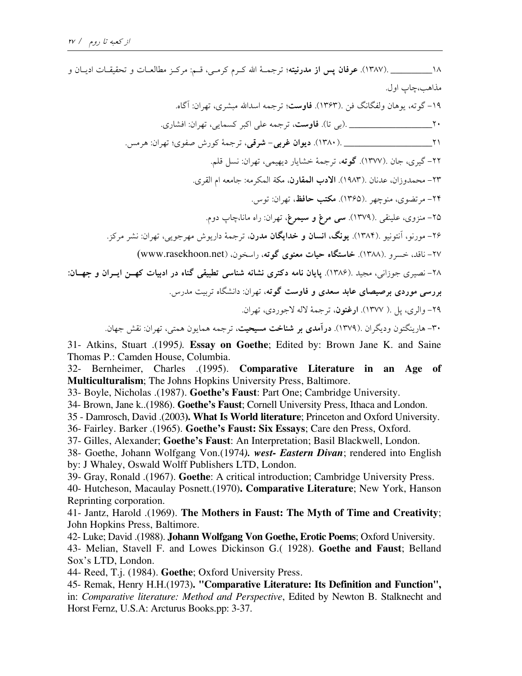مذاهب،چاب اول. ۱۹- گو ته، بوهان ولفگانگ فن .(۱۳۶۳). **فاوست**؛ ترجمه اسدالله میشری، ت<u>هران:</u> آگاه. ٢٢- گيري، جان .(١٣٧٧). **گو ته**، ترجمهٔ خشايار ديهيمي، تهران: نسل قلم. ٢٣- محمدوزان، عدنان .(١٩٨٣). الادب المقارن، مكة المكرمه: جامعه ام القرى. ۲۴- مرتضوي، منوچهر .(۱۳۶۵). م**کتب حافظ**، تهران: توس. ۲۵– منزوی، علینقی .(۱۳۷۹). **سی مرغ و سیمرغ**، تهران: راه مانا،چاپ دوم. ۲۶- مورنو، آنتونیو .(۱۳۸۴). **یونگ، انسان و خدایگان مدرن**، ترجمهٔ داریوش مهرجویی، تهران: نشر مرکز. ۲۷- ناقد، خسرو .(۱۳۸۸). **خاستگاه حیات معنوی گو ته**، راسخون، (www.rasekhoon.net) ۲۸- نصیری جوزانی، مجید .(۱۳۸۶). پایان نامه دکتری نشانه شناسی تطبیقی گناه در ادبیات کهــن ایــران و جهــان: بررسی موردی برصیصای عابد سعدی و فاوست گوته، تهران: دانشگاه تربیت مدرس. ٢٩- والري، يل .( ١٣٧٧). ارغنون، ترجمة لاله لاجوردي، تهران. ۳۰- هارینگتون ودیگران .(۱۳۷۹). **درآمدی بر شناخت مسیحیت**، ترجمه همایون همتبی، تهران: نقش جهان.

31- Atkins, Stuart .(1995). Essay on Goethe; Edited by: Brown Jane K. and Saine Thomas P.: Camden House, Columbia.

32- Bernheimer, Charles .(1995). Comparative Literature in an Age of Multiculturalism; The Johns Hopkins University Press, Baltimore.

33- Boyle, Nicholas .(1987). Goethe's Faust: Part One; Cambridge University.

34- Brown, Jane k. (1986). Goethe's Faust; Cornell University Press, Ithaca and London.

35 - Damrosch, David .(2003). What Is World literature; Princeton and Oxford University.

36- Fairley. Barker .(1965). Goethe's Faust: Six Essays; Care den Press, Oxford.

37- Gilles, Alexander; Goethe's Faust: An Interpretation; Basil Blackwell, London.

38- Goethe, Johann Wolfgang Von. (1974). west- Eastern Divan; rendered into English by: J Whaley, Oswald Wolff Publishers LTD, London.

39- Gray, Ronald .(1967). Goethe: A critical introduction; Cambridge University Press.

40- Hutcheson, Macaulay Posnett.(1970). Comparative Literature; New York, Hanson Reprinting corporation.

41- Jantz, Harold .(1969). The Mothers in Faust: The Myth of Time and Creativity; John Hopkins Press, Baltimore.

42- Luke; David .(1988). Johann Wolfgang Von Goethe, Erotic Poems; Oxford University. 43- Melian, Stavell F. and Lowes Dickinson G.( 1928). Goethe and Faust; Belland Sox's LTD, London.

44- Reed, T.j. (1984). Goethe; Oxford University Press.

45- Remak, Henry H.H.(1973). "Comparative Literature: Its Definition and Function", in: Comparative literature: Method and Perspective, Edited by Newton B. Stalknecht and Horst Fernz, U.S.A: Arcturus Books.pp: 3-37.